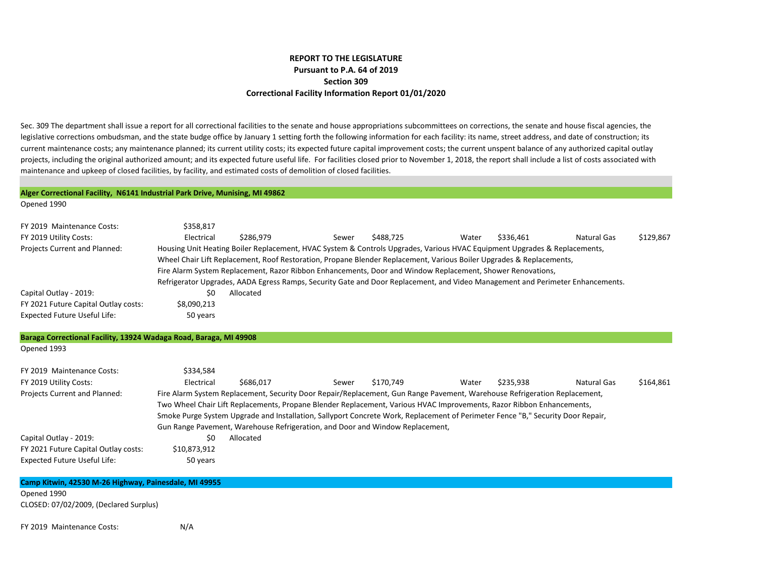## **REPORT TO THE LEGISLATURE Pursuant to P.A. 64 of 2019 Section 309 Correctional Facility Information Report 01/01/2020**

Sec. 309 The department shall issue a report for all correctional facilities to the senate and house appropriations subcommittees on corrections, the senate and house fiscal agencies, the legislative corrections ombudsman, and the state budge office by January 1 setting forth the following information for each facility: its name, street address, and date of construction; its current maintenance costs; any maintenance planned; its current utility costs; its expected future capital improvement costs; the current unspent balance of any authorized capital outlay projects, including the original authorized amount; and its expected future useful life. For facilities closed prior to November 1, 2018, the report shall include a list of costs associated with maintenance and upkeep of closed facilities, by facility, and estimated costs of demolition of closed facilities.

|                                                                   | Alger Correctional Facility, N6141 Industrial Park Drive, Munising, MI 49862                                                    |
|-------------------------------------------------------------------|---------------------------------------------------------------------------------------------------------------------------------|
| Opened 1990                                                       |                                                                                                                                 |
| FY 2019 Maintenance Costs:                                        | \$358,817                                                                                                                       |
|                                                                   | Electrical<br>Natural Gas                                                                                                       |
| FY 2019 Utility Costs:                                            | \$286,979<br>\$488,725<br>\$336,461<br>\$129,867<br>Water<br>Sewer                                                              |
| Projects Current and Planned:                                     | Housing Unit Heating Boiler Replacement, HVAC System & Controls Upgrades, Various HVAC Equipment Upgrades & Replacements,       |
|                                                                   | Wheel Chair Lift Replacement, Roof Restoration, Propane Blender Replacement, Various Boiler Upgrades & Replacements,            |
|                                                                   | Fire Alarm System Replacement, Razor Ribbon Enhancements, Door and Window Replacement, Shower Renovations,                      |
|                                                                   | Refrigerator Upgrades, AADA Egress Ramps, Security Gate and Door Replacement, and Video Management and Perimeter Enhancements.  |
| Capital Outlay - 2019:                                            | Allocated<br>\$0                                                                                                                |
| FY 2021 Future Capital Outlay costs:                              | \$8,090,213                                                                                                                     |
| <b>Expected Future Useful Life:</b>                               | 50 years                                                                                                                        |
| Baraga Correctional Facility, 13924 Wadaga Road, Baraga, MI 49908 |                                                                                                                                 |
| Opened 1993                                                       |                                                                                                                                 |
| FY 2019 Maintenance Costs:                                        | \$334,584                                                                                                                       |
| FY 2019 Utility Costs:                                            | Electrical<br>\$170.749<br>\$235,938<br>\$164,861<br>\$686,017<br>Water<br><b>Natural Gas</b><br>Sewer                          |
| Projects Current and Planned:                                     | Fire Alarm System Replacement, Security Door Repair/Replacement, Gun Range Pavement, Warehouse Refrigeration Replacement,       |
|                                                                   | Two Wheel Chair Lift Replacements, Propane Blender Replacement, Various HVAC Improvements, Razor Ribbon Enhancements,           |
|                                                                   | Smoke Purge System Upgrade and Installation, Sallyport Concrete Work, Replacement of Perimeter Fence "B," Security Door Repair, |
|                                                                   | Gun Range Pavement, Warehouse Refrigeration, and Door and Window Replacement,                                                   |
| Capital Outlay - 2019:                                            | Allocated<br>\$0                                                                                                                |
| FY 2021 Future Capital Outlay costs:                              | \$10,873,912                                                                                                                    |
| <b>Expected Future Useful Life:</b>                               | 50 years                                                                                                                        |
|                                                                   |                                                                                                                                 |
| Camp Kitwin, 42530 M-26 Highway, Painesdale, MI 49955             |                                                                                                                                 |
| Opened 1990                                                       |                                                                                                                                 |
| CLOSED: 07/02/2009, (Declared Surplus)                            |                                                                                                                                 |
| FY 2019 Maintenance Costs:                                        | N/A                                                                                                                             |
|                                                                   |                                                                                                                                 |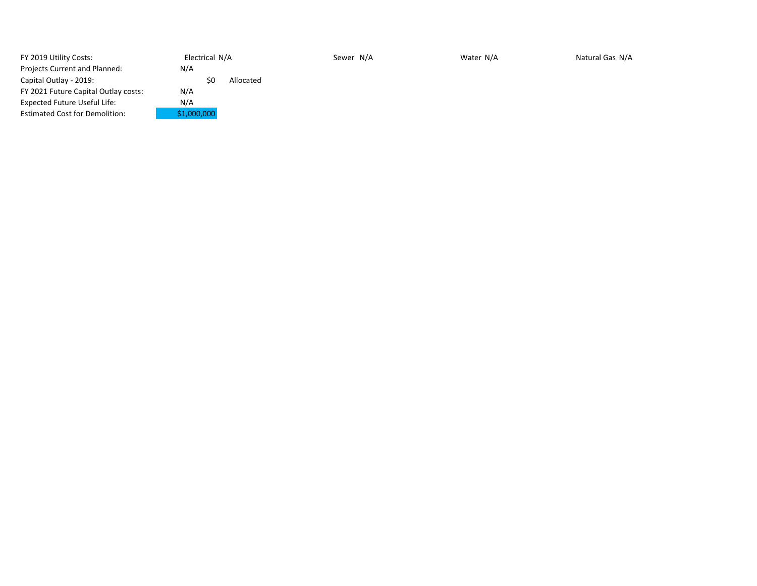| FY 2019 Utility Costs:                | Electrical N/A |           | Sewer N/A | Water N/A | Natural Gas N/A |
|---------------------------------------|----------------|-----------|-----------|-----------|-----------------|
| Projects Current and Planned:         | N/A            |           |           |           |                 |
| Capital Outlay - 2019:                | \$0            | Allocated |           |           |                 |
| FY 2021 Future Capital Outlay costs:  | N/A            |           |           |           |                 |
| <b>Expected Future Useful Life:</b>   | N/A            |           |           |           |                 |
| <b>Estimated Cost for Demolition:</b> | \$1,000,000    |           |           |           |                 |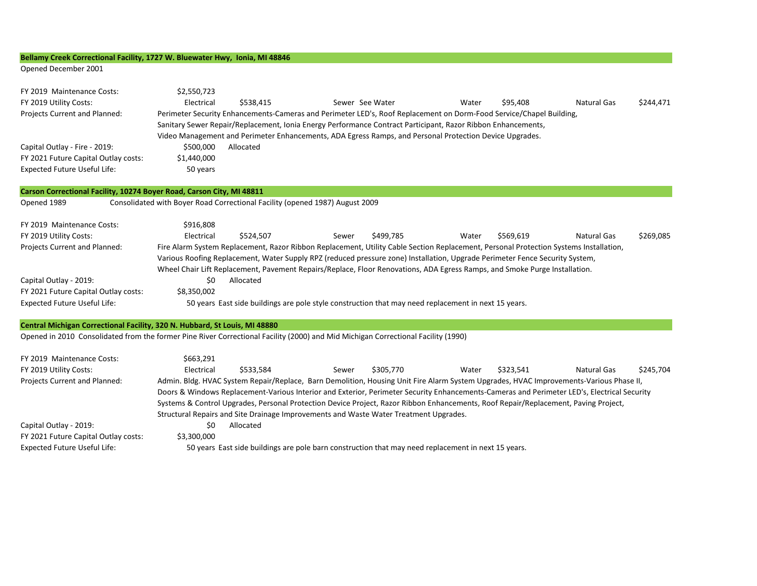## **Bellamy Creek Correctional Facility, 1727 W. Bluewater Hwy, Ionia, MI 48846**

Opened December 2001

| FY 2019 Maintenance Costs:                                                 | \$2,550,723                                                                                                                                                                                                                                                           |
|----------------------------------------------------------------------------|-----------------------------------------------------------------------------------------------------------------------------------------------------------------------------------------------------------------------------------------------------------------------|
| FY 2019 Utility Costs:                                                     | Electrical<br>\$538,415<br>Sewer See Water<br>\$95,408<br><b>Natural Gas</b><br>\$244,471<br>Water                                                                                                                                                                    |
| Projects Current and Planned:                                              | Perimeter Security Enhancements-Cameras and Perimeter LED's, Roof Replacement on Dorm-Food Service/Chapel Building,                                                                                                                                                   |
|                                                                            | Sanitary Sewer Repair/Replacement, Ionia Energy Performance Contract Participant, Razor Ribbon Enhancements,                                                                                                                                                          |
|                                                                            | Video Management and Perimeter Enhancements, ADA Egress Ramps, and Personal Protection Device Upgrades.                                                                                                                                                               |
| Capital Outlay - Fire - 2019:                                              | \$500,000<br>Allocated                                                                                                                                                                                                                                                |
| FY 2021 Future Capital Outlay costs:                                       | \$1,440,000                                                                                                                                                                                                                                                           |
| <b>Expected Future Useful Life:</b>                                        | 50 years                                                                                                                                                                                                                                                              |
| Carson Correctional Facility, 10274 Boyer Road, Carson City, MI 48811      |                                                                                                                                                                                                                                                                       |
| Opened 1989                                                                | Consolidated with Boyer Road Correctional Facility (opened 1987) August 2009                                                                                                                                                                                          |
| FY 2019 Maintenance Costs:                                                 | \$916,808                                                                                                                                                                                                                                                             |
| FY 2019 Utility Costs:                                                     | Electrical<br>\$524,507<br>\$499,785<br>\$569,619<br><b>Natural Gas</b><br>\$269,085<br>Water<br>Sewer                                                                                                                                                                |
| Projects Current and Planned:                                              | Fire Alarm System Replacement, Razor Ribbon Replacement, Utility Cable Section Replacement, Personal Protection Systems Installation,<br>Various Roofing Replacement, Water Supply RPZ (reduced pressure zone) Installation, Upgrade Perimeter Fence Security System, |
|                                                                            | Wheel Chair Lift Replacement, Pavement Repairs/Replace, Floor Renovations, ADA Egress Ramps, and Smoke Purge Installation.                                                                                                                                            |
| Capital Outlay - 2019:                                                     | \$0<br>Allocated                                                                                                                                                                                                                                                      |
| FY 2021 Future Capital Outlay costs:                                       | \$8,350,002                                                                                                                                                                                                                                                           |
| <b>Expected Future Useful Life:</b>                                        | 50 years East side buildings are pole style construction that may need replacement in next 15 years.                                                                                                                                                                  |
| Central Michigan Correctional Facility, 320 N. Hubbard, St Louis, MI 48880 |                                                                                                                                                                                                                                                                       |
|                                                                            | Opened in 2010 Consolidated from the former Pine River Correctional Facility (2000) and Mid Michigan Correctional Facility (1990)                                                                                                                                     |
| FY 2019 Maintenance Costs:                                                 | \$663,291                                                                                                                                                                                                                                                             |
| FY 2019 Utility Costs:                                                     | \$533,584<br>\$323,541<br>Electrical<br>\$305,770<br><b>Natural Gas</b><br>\$245,704<br>Sewer<br>Water                                                                                                                                                                |
| Projects Current and Planned:                                              | Admin. Bldg. HVAC System Repair/Replace, Barn Demolition, Housing Unit Fire Alarm System Upgrades, HVAC Improvements-Various Phase II,                                                                                                                                |
|                                                                            | Doors & Windows Replacement-Various Interior and Exterior, Perimeter Security Enhancements-Cameras and Perimeter LED's, Electrical Security                                                                                                                           |
|                                                                            | Systems & Control Upgrades, Personal Protection Device Project, Razor Ribbon Enhancements, Roof Repair/Replacement, Paving Project,                                                                                                                                   |
|                                                                            | Structural Repairs and Site Drainage Improvements and Waste Water Treatment Upgrades.                                                                                                                                                                                 |
| Capital Outlay - 2019:                                                     | \$0<br>Allocated                                                                                                                                                                                                                                                      |
| FY 2021 Future Capital Outlay costs:                                       | \$3,300,000                                                                                                                                                                                                                                                           |
| <b>Expected Future Useful Life:</b>                                        | 50 years East side buildings are pole barn construction that may need replacement in next 15 years.                                                                                                                                                                   |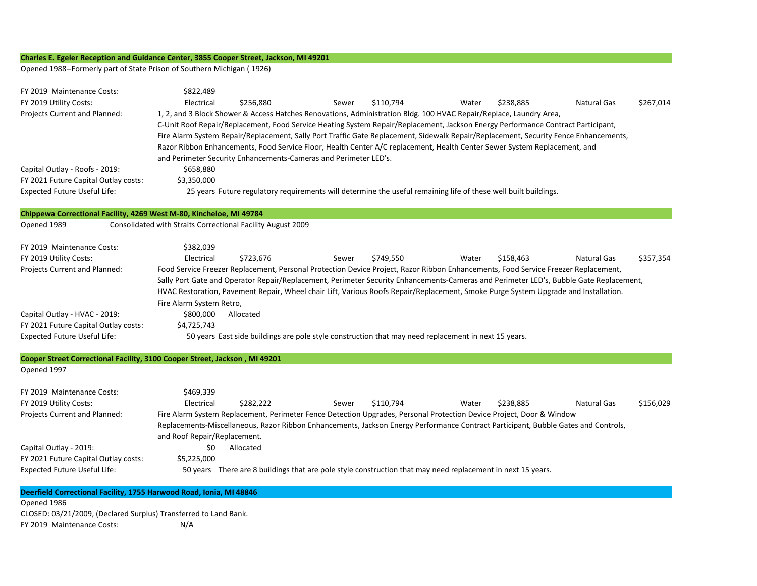## **Charles E. Egeler Reception and Guidance Center, 3855 Cooper Street, Jackson, MI 49201**

Opened 1988--Formerly part of State Prison of Southern Michigan ( 1926)

| Chippewa Correctional Facility, 4269 West M-80, Kincheloe, MI 49784<br>Opened 1989<br>Consolidated with Straits Correctional Facility August 2009<br>FY 2019 Maintenance Costs:<br>\$382,039<br>FY 2019 Utility Costs:<br>Electrical<br>\$357,354<br>\$723,676<br>\$749,550<br>Water<br>\$158,463<br>Natural Gas<br>Sewer<br>Projects Current and Planned:<br>Food Service Freezer Replacement, Personal Protection Device Project, Razor Ribbon Enhancements, Food Service Freezer Replacement,<br>Sally Port Gate and Operator Repair/Replacement, Perimeter Security Enhancements-Cameras and Perimeter LED's, Bubble Gate Replacement,<br>HVAC Restoration, Pavement Repair, Wheel chair Lift, Various Roofs Repair/Replacement, Smoke Purge System Upgrade and Installation.<br>Fire Alarm System Retro,<br>Capital Outlay - HVAC - 2019:<br>\$800,000<br>Allocated<br>FY 2021 Future Capital Outlay costs:<br>\$4,725,743<br>Expected Future Useful Life:<br>50 years East side buildings are pole style construction that may need replacement in next 15 years.<br>Cooper Street Correctional Facility, 3100 Cooper Street, Jackson, MI 49201<br>Opened 1997<br>\$469,339<br>FY 2019 Maintenance Costs:<br>FY 2019 Utility Costs:<br>Electrical<br>\$282,222<br>\$110,794<br>\$238,885<br><b>Natural Gas</b><br>\$156,029<br>Sewer<br>Water<br>Fire Alarm System Replacement, Perimeter Fence Detection Upgrades, Personal Protection Device Project, Door & Window<br>Projects Current and Planned:<br>Replacements-Miscellaneous, Razor Ribbon Enhancements, Jackson Energy Performance Contract Participant, Bubble Gates and Controls,<br>and Roof Repair/Replacement.<br>Capital Outlay - 2019:<br>\$0<br>Allocated<br>FY 2021 Future Capital Outlay costs:<br>\$5,225,000<br><b>Expected Future Useful Life:</b><br>50 years There are 8 buildings that are pole style construction that may need replacement in next 15 years.<br>Deerfield Correctional Facility, 1755 Harwood Road, Ionia, MI 48846<br>Opened 1986<br>CLOSED: 03/21/2009, (Declared Surplus) Transferred to Land Bank.<br>FY 2019 Maintenance Costs:<br>N/A | FY 2019 Maintenance Costs:<br>FY 2019 Utility Costs:<br>Projects Current and Planned:<br>Capital Outlay - Roofs - 2019:<br>FY 2021 Future Capital Outlay costs:<br><b>Expected Future Useful Life:</b> | \$822,489<br>Electrical<br>\$256,880<br>\$110,794<br>\$238,885<br><b>Natural Gas</b><br>\$267,014<br>Sewer<br>Water<br>1, 2, and 3 Block Shower & Access Hatches Renovations, Administration Bldg. 100 HVAC Repair/Replace, Laundry Area,<br>C-Unit Roof Repair/Replacement, Food Service Heating System Repair/Replacement, Jackson Energy Performance Contract Participant,<br>Fire Alarm System Repair/Replacement, Sally Port Traffic Gate Replacement, Sidewalk Repair/Replacement, Security Fence Enhancements,<br>Razor Ribbon Enhancements, Food Service Floor, Health Center A/C replacement, Health Center Sewer System Replacement, and<br>and Perimeter Security Enhancements-Cameras and Perimeter LED's.<br>\$658,880<br>\$3,350,000<br>25 years Future regulatory requirements will determine the useful remaining life of these well built buildings. |
|----------------------------------------------------------------------------------------------------------------------------------------------------------------------------------------------------------------------------------------------------------------------------------------------------------------------------------------------------------------------------------------------------------------------------------------------------------------------------------------------------------------------------------------------------------------------------------------------------------------------------------------------------------------------------------------------------------------------------------------------------------------------------------------------------------------------------------------------------------------------------------------------------------------------------------------------------------------------------------------------------------------------------------------------------------------------------------------------------------------------------------------------------------------------------------------------------------------------------------------------------------------------------------------------------------------------------------------------------------------------------------------------------------------------------------------------------------------------------------------------------------------------------------------------------------------------------------------------------------------------------------------------------------------------------------------------------------------------------------------------------------------------------------------------------------------------------------------------------------------------------------------------------------------------------------------------------------------------------------------------------------------------------------------------------------------------------------------------------------------------------------------------|--------------------------------------------------------------------------------------------------------------------------------------------------------------------------------------------------------|-----------------------------------------------------------------------------------------------------------------------------------------------------------------------------------------------------------------------------------------------------------------------------------------------------------------------------------------------------------------------------------------------------------------------------------------------------------------------------------------------------------------------------------------------------------------------------------------------------------------------------------------------------------------------------------------------------------------------------------------------------------------------------------------------------------------------------------------------------------------------|
|                                                                                                                                                                                                                                                                                                                                                                                                                                                                                                                                                                                                                                                                                                                                                                                                                                                                                                                                                                                                                                                                                                                                                                                                                                                                                                                                                                                                                                                                                                                                                                                                                                                                                                                                                                                                                                                                                                                                                                                                                                                                                                                                              |                                                                                                                                                                                                        |                                                                                                                                                                                                                                                                                                                                                                                                                                                                                                                                                                                                                                                                                                                                                                                                                                                                       |
|                                                                                                                                                                                                                                                                                                                                                                                                                                                                                                                                                                                                                                                                                                                                                                                                                                                                                                                                                                                                                                                                                                                                                                                                                                                                                                                                                                                                                                                                                                                                                                                                                                                                                                                                                                                                                                                                                                                                                                                                                                                                                                                                              |                                                                                                                                                                                                        |                                                                                                                                                                                                                                                                                                                                                                                                                                                                                                                                                                                                                                                                                                                                                                                                                                                                       |
|                                                                                                                                                                                                                                                                                                                                                                                                                                                                                                                                                                                                                                                                                                                                                                                                                                                                                                                                                                                                                                                                                                                                                                                                                                                                                                                                                                                                                                                                                                                                                                                                                                                                                                                                                                                                                                                                                                                                                                                                                                                                                                                                              |                                                                                                                                                                                                        |                                                                                                                                                                                                                                                                                                                                                                                                                                                                                                                                                                                                                                                                                                                                                                                                                                                                       |
|                                                                                                                                                                                                                                                                                                                                                                                                                                                                                                                                                                                                                                                                                                                                                                                                                                                                                                                                                                                                                                                                                                                                                                                                                                                                                                                                                                                                                                                                                                                                                                                                                                                                                                                                                                                                                                                                                                                                                                                                                                                                                                                                              |                                                                                                                                                                                                        |                                                                                                                                                                                                                                                                                                                                                                                                                                                                                                                                                                                                                                                                                                                                                                                                                                                                       |
|                                                                                                                                                                                                                                                                                                                                                                                                                                                                                                                                                                                                                                                                                                                                                                                                                                                                                                                                                                                                                                                                                                                                                                                                                                                                                                                                                                                                                                                                                                                                                                                                                                                                                                                                                                                                                                                                                                                                                                                                                                                                                                                                              |                                                                                                                                                                                                        |                                                                                                                                                                                                                                                                                                                                                                                                                                                                                                                                                                                                                                                                                                                                                                                                                                                                       |
|                                                                                                                                                                                                                                                                                                                                                                                                                                                                                                                                                                                                                                                                                                                                                                                                                                                                                                                                                                                                                                                                                                                                                                                                                                                                                                                                                                                                                                                                                                                                                                                                                                                                                                                                                                                                                                                                                                                                                                                                                                                                                                                                              |                                                                                                                                                                                                        |                                                                                                                                                                                                                                                                                                                                                                                                                                                                                                                                                                                                                                                                                                                                                                                                                                                                       |
|                                                                                                                                                                                                                                                                                                                                                                                                                                                                                                                                                                                                                                                                                                                                                                                                                                                                                                                                                                                                                                                                                                                                                                                                                                                                                                                                                                                                                                                                                                                                                                                                                                                                                                                                                                                                                                                                                                                                                                                                                                                                                                                                              |                                                                                                                                                                                                        |                                                                                                                                                                                                                                                                                                                                                                                                                                                                                                                                                                                                                                                                                                                                                                                                                                                                       |
|                                                                                                                                                                                                                                                                                                                                                                                                                                                                                                                                                                                                                                                                                                                                                                                                                                                                                                                                                                                                                                                                                                                                                                                                                                                                                                                                                                                                                                                                                                                                                                                                                                                                                                                                                                                                                                                                                                                                                                                                                                                                                                                                              |                                                                                                                                                                                                        |                                                                                                                                                                                                                                                                                                                                                                                                                                                                                                                                                                                                                                                                                                                                                                                                                                                                       |
|                                                                                                                                                                                                                                                                                                                                                                                                                                                                                                                                                                                                                                                                                                                                                                                                                                                                                                                                                                                                                                                                                                                                                                                                                                                                                                                                                                                                                                                                                                                                                                                                                                                                                                                                                                                                                                                                                                                                                                                                                                                                                                                                              |                                                                                                                                                                                                        |                                                                                                                                                                                                                                                                                                                                                                                                                                                                                                                                                                                                                                                                                                                                                                                                                                                                       |
|                                                                                                                                                                                                                                                                                                                                                                                                                                                                                                                                                                                                                                                                                                                                                                                                                                                                                                                                                                                                                                                                                                                                                                                                                                                                                                                                                                                                                                                                                                                                                                                                                                                                                                                                                                                                                                                                                                                                                                                                                                                                                                                                              |                                                                                                                                                                                                        |                                                                                                                                                                                                                                                                                                                                                                                                                                                                                                                                                                                                                                                                                                                                                                                                                                                                       |
|                                                                                                                                                                                                                                                                                                                                                                                                                                                                                                                                                                                                                                                                                                                                                                                                                                                                                                                                                                                                                                                                                                                                                                                                                                                                                                                                                                                                                                                                                                                                                                                                                                                                                                                                                                                                                                                                                                                                                                                                                                                                                                                                              |                                                                                                                                                                                                        |                                                                                                                                                                                                                                                                                                                                                                                                                                                                                                                                                                                                                                                                                                                                                                                                                                                                       |
|                                                                                                                                                                                                                                                                                                                                                                                                                                                                                                                                                                                                                                                                                                                                                                                                                                                                                                                                                                                                                                                                                                                                                                                                                                                                                                                                                                                                                                                                                                                                                                                                                                                                                                                                                                                                                                                                                                                                                                                                                                                                                                                                              |                                                                                                                                                                                                        |                                                                                                                                                                                                                                                                                                                                                                                                                                                                                                                                                                                                                                                                                                                                                                                                                                                                       |
|                                                                                                                                                                                                                                                                                                                                                                                                                                                                                                                                                                                                                                                                                                                                                                                                                                                                                                                                                                                                                                                                                                                                                                                                                                                                                                                                                                                                                                                                                                                                                                                                                                                                                                                                                                                                                                                                                                                                                                                                                                                                                                                                              |                                                                                                                                                                                                        |                                                                                                                                                                                                                                                                                                                                                                                                                                                                                                                                                                                                                                                                                                                                                                                                                                                                       |
|                                                                                                                                                                                                                                                                                                                                                                                                                                                                                                                                                                                                                                                                                                                                                                                                                                                                                                                                                                                                                                                                                                                                                                                                                                                                                                                                                                                                                                                                                                                                                                                                                                                                                                                                                                                                                                                                                                                                                                                                                                                                                                                                              |                                                                                                                                                                                                        |                                                                                                                                                                                                                                                                                                                                                                                                                                                                                                                                                                                                                                                                                                                                                                                                                                                                       |
|                                                                                                                                                                                                                                                                                                                                                                                                                                                                                                                                                                                                                                                                                                                                                                                                                                                                                                                                                                                                                                                                                                                                                                                                                                                                                                                                                                                                                                                                                                                                                                                                                                                                                                                                                                                                                                                                                                                                                                                                                                                                                                                                              |                                                                                                                                                                                                        |                                                                                                                                                                                                                                                                                                                                                                                                                                                                                                                                                                                                                                                                                                                                                                                                                                                                       |
|                                                                                                                                                                                                                                                                                                                                                                                                                                                                                                                                                                                                                                                                                                                                                                                                                                                                                                                                                                                                                                                                                                                                                                                                                                                                                                                                                                                                                                                                                                                                                                                                                                                                                                                                                                                                                                                                                                                                                                                                                                                                                                                                              |                                                                                                                                                                                                        |                                                                                                                                                                                                                                                                                                                                                                                                                                                                                                                                                                                                                                                                                                                                                                                                                                                                       |
|                                                                                                                                                                                                                                                                                                                                                                                                                                                                                                                                                                                                                                                                                                                                                                                                                                                                                                                                                                                                                                                                                                                                                                                                                                                                                                                                                                                                                                                                                                                                                                                                                                                                                                                                                                                                                                                                                                                                                                                                                                                                                                                                              |                                                                                                                                                                                                        |                                                                                                                                                                                                                                                                                                                                                                                                                                                                                                                                                                                                                                                                                                                                                                                                                                                                       |
|                                                                                                                                                                                                                                                                                                                                                                                                                                                                                                                                                                                                                                                                                                                                                                                                                                                                                                                                                                                                                                                                                                                                                                                                                                                                                                                                                                                                                                                                                                                                                                                                                                                                                                                                                                                                                                                                                                                                                                                                                                                                                                                                              |                                                                                                                                                                                                        |                                                                                                                                                                                                                                                                                                                                                                                                                                                                                                                                                                                                                                                                                                                                                                                                                                                                       |
|                                                                                                                                                                                                                                                                                                                                                                                                                                                                                                                                                                                                                                                                                                                                                                                                                                                                                                                                                                                                                                                                                                                                                                                                                                                                                                                                                                                                                                                                                                                                                                                                                                                                                                                                                                                                                                                                                                                                                                                                                                                                                                                                              |                                                                                                                                                                                                        |                                                                                                                                                                                                                                                                                                                                                                                                                                                                                                                                                                                                                                                                                                                                                                                                                                                                       |
|                                                                                                                                                                                                                                                                                                                                                                                                                                                                                                                                                                                                                                                                                                                                                                                                                                                                                                                                                                                                                                                                                                                                                                                                                                                                                                                                                                                                                                                                                                                                                                                                                                                                                                                                                                                                                                                                                                                                                                                                                                                                                                                                              |                                                                                                                                                                                                        |                                                                                                                                                                                                                                                                                                                                                                                                                                                                                                                                                                                                                                                                                                                                                                                                                                                                       |
|                                                                                                                                                                                                                                                                                                                                                                                                                                                                                                                                                                                                                                                                                                                                                                                                                                                                                                                                                                                                                                                                                                                                                                                                                                                                                                                                                                                                                                                                                                                                                                                                                                                                                                                                                                                                                                                                                                                                                                                                                                                                                                                                              |                                                                                                                                                                                                        |                                                                                                                                                                                                                                                                                                                                                                                                                                                                                                                                                                                                                                                                                                                                                                                                                                                                       |
|                                                                                                                                                                                                                                                                                                                                                                                                                                                                                                                                                                                                                                                                                                                                                                                                                                                                                                                                                                                                                                                                                                                                                                                                                                                                                                                                                                                                                                                                                                                                                                                                                                                                                                                                                                                                                                                                                                                                                                                                                                                                                                                                              |                                                                                                                                                                                                        |                                                                                                                                                                                                                                                                                                                                                                                                                                                                                                                                                                                                                                                                                                                                                                                                                                                                       |
|                                                                                                                                                                                                                                                                                                                                                                                                                                                                                                                                                                                                                                                                                                                                                                                                                                                                                                                                                                                                                                                                                                                                                                                                                                                                                                                                                                                                                                                                                                                                                                                                                                                                                                                                                                                                                                                                                                                                                                                                                                                                                                                                              |                                                                                                                                                                                                        |                                                                                                                                                                                                                                                                                                                                                                                                                                                                                                                                                                                                                                                                                                                                                                                                                                                                       |
|                                                                                                                                                                                                                                                                                                                                                                                                                                                                                                                                                                                                                                                                                                                                                                                                                                                                                                                                                                                                                                                                                                                                                                                                                                                                                                                                                                                                                                                                                                                                                                                                                                                                                                                                                                                                                                                                                                                                                                                                                                                                                                                                              |                                                                                                                                                                                                        |                                                                                                                                                                                                                                                                                                                                                                                                                                                                                                                                                                                                                                                                                                                                                                                                                                                                       |
|                                                                                                                                                                                                                                                                                                                                                                                                                                                                                                                                                                                                                                                                                                                                                                                                                                                                                                                                                                                                                                                                                                                                                                                                                                                                                                                                                                                                                                                                                                                                                                                                                                                                                                                                                                                                                                                                                                                                                                                                                                                                                                                                              |                                                                                                                                                                                                        |                                                                                                                                                                                                                                                                                                                                                                                                                                                                                                                                                                                                                                                                                                                                                                                                                                                                       |
|                                                                                                                                                                                                                                                                                                                                                                                                                                                                                                                                                                                                                                                                                                                                                                                                                                                                                                                                                                                                                                                                                                                                                                                                                                                                                                                                                                                                                                                                                                                                                                                                                                                                                                                                                                                                                                                                                                                                                                                                                                                                                                                                              |                                                                                                                                                                                                        |                                                                                                                                                                                                                                                                                                                                                                                                                                                                                                                                                                                                                                                                                                                                                                                                                                                                       |
|                                                                                                                                                                                                                                                                                                                                                                                                                                                                                                                                                                                                                                                                                                                                                                                                                                                                                                                                                                                                                                                                                                                                                                                                                                                                                                                                                                                                                                                                                                                                                                                                                                                                                                                                                                                                                                                                                                                                                                                                                                                                                                                                              |                                                                                                                                                                                                        |                                                                                                                                                                                                                                                                                                                                                                                                                                                                                                                                                                                                                                                                                                                                                                                                                                                                       |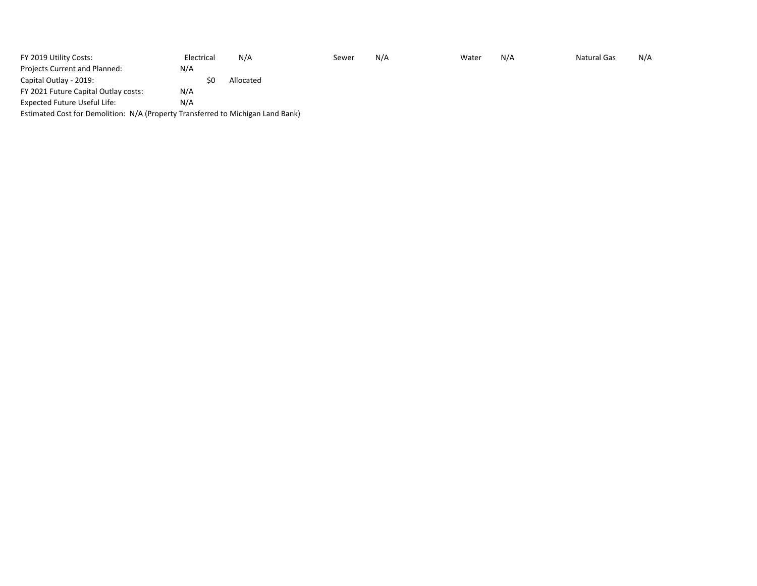| FY 2019 Utility Costs:                                                          | Electrical | N/A       | Sewer | N/A | Water | N/A | <b>Natural Gas</b> | N/A |
|---------------------------------------------------------------------------------|------------|-----------|-------|-----|-------|-----|--------------------|-----|
| Projects Current and Planned:                                                   | N/A        |           |       |     |       |     |                    |     |
| Capital Outlay - 2019:                                                          | ŚC         | Allocated |       |     |       |     |                    |     |
| FY 2021 Future Capital Outlay costs:                                            | N/A        |           |       |     |       |     |                    |     |
| Expected Future Useful Life:                                                    | N/A        |           |       |     |       |     |                    |     |
| Estimated Cost for Demolition: N/A (Property Transferred to Michigan Land Bank) |            |           |       |     |       |     |                    |     |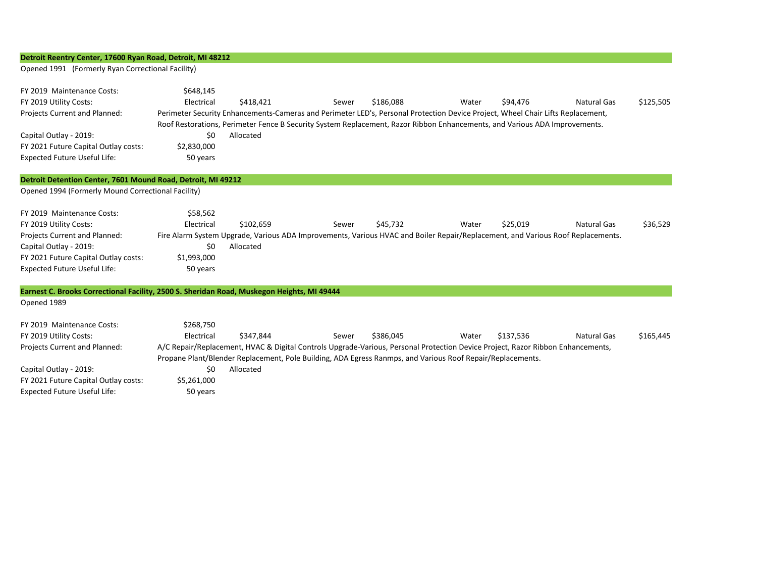## **Detroit Reentry Center, 17600 Ryan Road, Detroit, MI 48212**

Opened 1991 (Formerly Ryan Correctional Facility)

| FY 2019 Maintenance Costs:<br>FY 2019 Utility Costs: | \$648.145<br>Electrical | \$418,421 | Sewer | \$186,088 | Water                                                                                                                           | \$94.476 | Natural Gas | \$125,505 |
|------------------------------------------------------|-------------------------|-----------|-------|-----------|---------------------------------------------------------------------------------------------------------------------------------|----------|-------------|-----------|
| Projects Current and Planned:                        |                         |           |       |           | Perimeter Security Enhancements-Cameras and Perimeter LED's, Personal Protection Device Project, Wheel Chair Lifts Replacement, |          |             |           |
|                                                      |                         |           |       |           | Roof Restorations, Perimeter Fence B Security System Replacement, Razor Ribbon Enhancements, and Various ADA Improvements.      |          |             |           |
| Capital Outlay - 2019:                               | \$0                     | Allocated |       |           |                                                                                                                                 |          |             |           |
| FY 2021 Future Capital Outlay costs:                 | \$2,830,000             |           |       |           |                                                                                                                                 |          |             |           |
| <b>Expected Future Useful Life:</b>                  | 50 years                |           |       |           |                                                                                                                                 |          |             |           |
|                                                      |                         |           |       |           |                                                                                                                                 |          |             |           |

## **Detroit Detention Center, 7601 Mound Road, Detroit, MI 49212**

Opened 1994 (Formerly Mound Correctional Facility)

| FY 2019 Maintenance Costs:           | \$58,562    |           |                                                                                                                                 |          |       |          |             |          |
|--------------------------------------|-------------|-----------|---------------------------------------------------------------------------------------------------------------------------------|----------|-------|----------|-------------|----------|
| FY 2019 Utility Costs:               | Electrical  | \$102.659 | Sewer                                                                                                                           | \$45.732 | Water | \$25.019 | Natural Gas | \$36,529 |
| <b>Projects Current and Planned:</b> |             |           | Fire Alarm System Upgrade, Various ADA Improvements, Various HVAC and Boiler Repair/Replacement, and Various Roof Replacements. |          |       |          |             |          |
| Capital Outlay - 2019:               | Ś0          | Allocated |                                                                                                                                 |          |       |          |             |          |
| FY 2021 Future Capital Outlay costs: | \$1,993,000 |           |                                                                                                                                 |          |       |          |             |          |
| Expected Future Useful Life:         | 50 years    |           |                                                                                                                                 |          |       |          |             |          |

| Earnest C. Brooks Correctional Facility, 2500 S. Sheridan Road, Muskegon Heights, MI 49444 |             |           |                                                                                                                                 |           |       |           |             |           |  |
|--------------------------------------------------------------------------------------------|-------------|-----------|---------------------------------------------------------------------------------------------------------------------------------|-----------|-------|-----------|-------------|-----------|--|
| Opened 1989                                                                                |             |           |                                                                                                                                 |           |       |           |             |           |  |
| FY 2019 Maintenance Costs:                                                                 | \$268,750   |           |                                                                                                                                 |           |       |           |             |           |  |
| FY 2019 Utility Costs:                                                                     | Electrical  | \$347.844 | Sewer                                                                                                                           | \$386.045 | Water | \$137.536 | Natural Gas | \$165,445 |  |
| <b>Projects Current and Planned:</b>                                                       |             |           | A/C Repair/Replacement, HVAC & Digital Controls Upgrade-Various, Personal Protection Device Project, Razor Ribbon Enhancements, |           |       |           |             |           |  |
|                                                                                            |             |           | Propane Plant/Blender Replacement, Pole Building, ADA Egress Ranmps, and Various Roof Repair/Replacements.                      |           |       |           |             |           |  |
| Capital Outlay - 2019:                                                                     | \$0         | Allocated |                                                                                                                                 |           |       |           |             |           |  |
| FY 2021 Future Capital Outlay costs:                                                       | \$5,261,000 |           |                                                                                                                                 |           |       |           |             |           |  |
| <b>Expected Future Useful Life:</b>                                                        | 50 years    |           |                                                                                                                                 |           |       |           |             |           |  |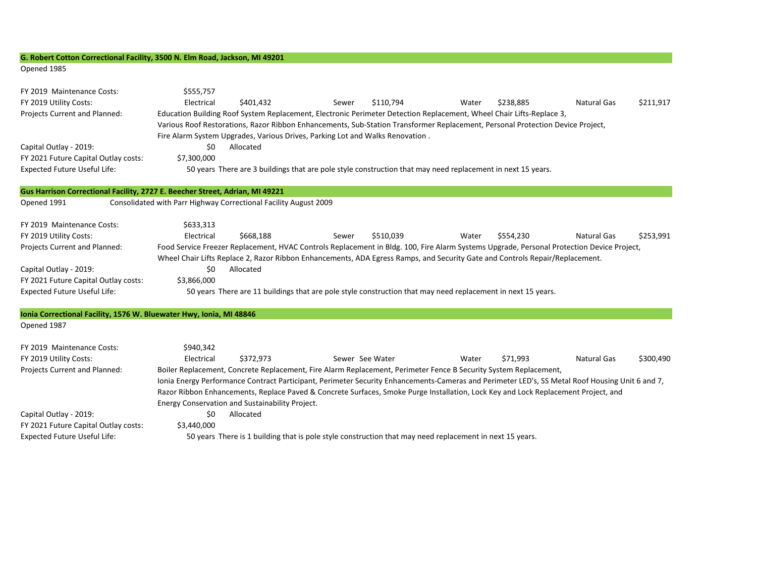### **G. Robert Cotton Correctional Facility, 3500 N. Elm Road, Jackson, MI 49201**

#### Opened 1985

| FY 2019 Maintenance Costs:<br>FY 2019 Utility Costs:<br>Projects Current and Planned: | \$555,757<br>Electrical | \$401,432<br>Education Building Roof System Replacement, Electronic Perimeter Detection Replacement, Wheel Chair Lifts-Replace 3,                                                                               | Sewer | \$110,794       | Water | \$238,885 | <b>Natural Gas</b> | \$211,917 |  |  |  |
|---------------------------------------------------------------------------------------|-------------------------|-----------------------------------------------------------------------------------------------------------------------------------------------------------------------------------------------------------------|-------|-----------------|-------|-----------|--------------------|-----------|--|--|--|
|                                                                                       |                         | Various Roof Restorations, Razor Ribbon Enhancements, Sub-Station Transformer Replacement, Personal Protection Device Project,<br>Fire Alarm System Upgrades, Various Drives, Parking Lot and Walks Renovation. |       |                 |       |           |                    |           |  |  |  |
| Capital Outlay - 2019:                                                                | \$0                     | Allocated                                                                                                                                                                                                       |       |                 |       |           |                    |           |  |  |  |
| FY 2021 Future Capital Outlay costs:                                                  | \$7,300,000             |                                                                                                                                                                                                                 |       |                 |       |           |                    |           |  |  |  |
| <b>Expected Future Useful Life:</b>                                                   |                         | 50 years There are 3 buildings that are pole style construction that may need replacement in next 15 years.                                                                                                     |       |                 |       |           |                    |           |  |  |  |
|                                                                                       |                         |                                                                                                                                                                                                                 |       |                 |       |           |                    |           |  |  |  |
| Gus Harrison Correctional Facility, 2727 E. Beecher Street, Adrian, MI 49221          |                         |                                                                                                                                                                                                                 |       |                 |       |           |                    |           |  |  |  |
| Opened 1991                                                                           |                         | Consolidated with Parr Highway Correctional Facility August 2009                                                                                                                                                |       |                 |       |           |                    |           |  |  |  |
|                                                                                       |                         |                                                                                                                                                                                                                 |       |                 |       |           |                    |           |  |  |  |
| FY 2019 Maintenance Costs:                                                            | \$633,313               |                                                                                                                                                                                                                 |       |                 |       |           |                    |           |  |  |  |
| FY 2019 Utility Costs:                                                                | Electrical              | \$668,188                                                                                                                                                                                                       | Sewer | \$510,039       | Water | \$554,230 | <b>Natural Gas</b> | \$253,991 |  |  |  |
| Projects Current and Planned:                                                         |                         | Food Service Freezer Replacement, HVAC Controls Replacement in Bldg. 100, Fire Alarm Systems Upgrade, Personal Protection Device Project,                                                                       |       |                 |       |           |                    |           |  |  |  |
|                                                                                       |                         | Wheel Chair Lifts Replace 2, Razor Ribbon Enhancements, ADA Egress Ramps, and Security Gate and Controls Repair/Replacement.                                                                                    |       |                 |       |           |                    |           |  |  |  |
| Capital Outlay - 2019:                                                                | \$0                     | Allocated                                                                                                                                                                                                       |       |                 |       |           |                    |           |  |  |  |
| FY 2021 Future Capital Outlay costs:                                                  | \$3,866,000             |                                                                                                                                                                                                                 |       |                 |       |           |                    |           |  |  |  |
| <b>Expected Future Useful Life:</b>                                                   |                         | 50 years There are 11 buildings that are pole style construction that may need replacement in next 15 years.                                                                                                    |       |                 |       |           |                    |           |  |  |  |
| Ionia Correctional Facility, 1576 W. Bluewater Hwy, Ionia, MI 48846                   |                         |                                                                                                                                                                                                                 |       |                 |       |           |                    |           |  |  |  |
| Opened 1987                                                                           |                         |                                                                                                                                                                                                                 |       |                 |       |           |                    |           |  |  |  |
| FY 2019 Maintenance Costs:                                                            | \$940,342               |                                                                                                                                                                                                                 |       |                 |       |           |                    |           |  |  |  |
| FY 2019 Utility Costs:                                                                | Electrical              | \$372.973                                                                                                                                                                                                       |       | Sewer See Water | Water | \$71,993  | <b>Natural Gas</b> | \$300,490 |  |  |  |
| Projects Current and Planned:                                                         |                         | Boiler Replacement, Concrete Replacement, Fire Alarm Replacement, Perimeter Fence B Security System Replacement,                                                                                                |       |                 |       |           |                    |           |  |  |  |
|                                                                                       |                         | Ionia Energy Performance Contract Participant, Perimeter Security Enhancements-Cameras and Perimeter LED's, SS Metal Roof Housing Unit 6 and 7,                                                                 |       |                 |       |           |                    |           |  |  |  |
|                                                                                       |                         | Razor Ribbon Enhancements, Replace Paved & Concrete Surfaces, Smoke Purge Installation, Lock Key and Lock Replacement Project, and                                                                              |       |                 |       |           |                    |           |  |  |  |
|                                                                                       |                         | Energy Conservation and Sustainability Project.                                                                                                                                                                 |       |                 |       |           |                    |           |  |  |  |

Capital Outlay - 2019: The Capital Outlay - 2019: FY 2021 Future Capital Outlay costs: \$3,440,000

Expected Future Useful Life: 50 years There is 1 building that is pole style construction that may need replacement in next 15 years.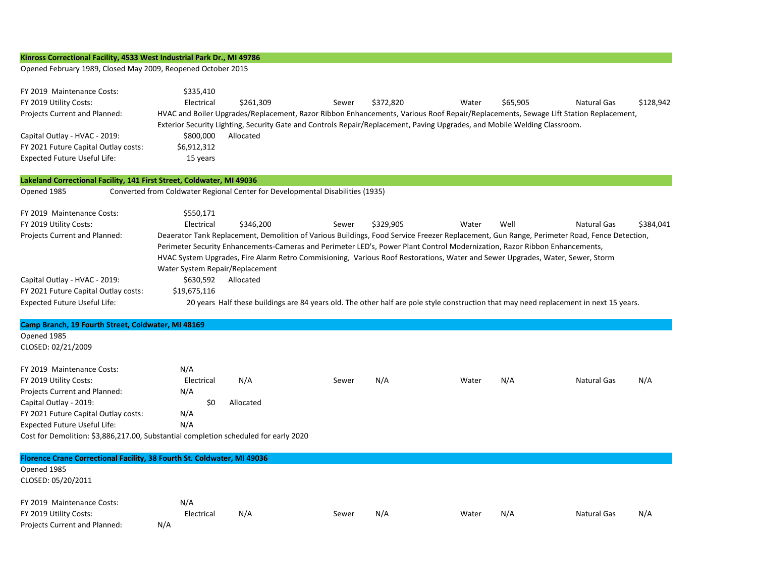## **Kinross Correctional Facility, 4533 West Industrial Park Dr., MI 49786**

Opened February 1989, Closed May 2009, Reopened October 2015

| FY 2019 Maintenance Costs:<br>FY 2019 Utility Costs:<br>Projects Current and Planned:<br>Capital Outlay - HVAC - 2019:<br>FY 2021 Future Capital Outlay costs:<br><b>Expected Future Useful Life:</b>                                                                                  | \$335,410<br>Electrical<br>\$800,000<br>\$6,912,312<br>15 years | \$261,309<br>Allocated                                                         | Sewer | \$372,820 | Water<br>Exterior Security Lighting, Security Gate and Controls Repair/Replacement, Paving Upgrades, and Mobile Welding Classroom.  | \$65,905 | <b>Natural Gas</b><br>HVAC and Boiler Upgrades/Replacement, Razor Ribbon Enhancements, Various Roof Repair/Replacements, Sewage Lift Station Replacement,                                                                                                                                         | \$128,942 |
|----------------------------------------------------------------------------------------------------------------------------------------------------------------------------------------------------------------------------------------------------------------------------------------|-----------------------------------------------------------------|--------------------------------------------------------------------------------|-------|-----------|-------------------------------------------------------------------------------------------------------------------------------------|----------|---------------------------------------------------------------------------------------------------------------------------------------------------------------------------------------------------------------------------------------------------------------------------------------------------|-----------|
| Lakeland Correctional Facility, 141 First Street, Coldwater, MI 49036                                                                                                                                                                                                                  |                                                                 |                                                                                |       |           |                                                                                                                                     |          |                                                                                                                                                                                                                                                                                                   |           |
| Opened 1985                                                                                                                                                                                                                                                                            |                                                                 | Converted from Coldwater Regional Center for Developmental Disabilities (1935) |       |           |                                                                                                                                     |          |                                                                                                                                                                                                                                                                                                   |           |
| FY 2019 Maintenance Costs:<br>FY 2019 Utility Costs:<br>Projects Current and Planned:                                                                                                                                                                                                  | \$550,171<br>Electrical<br>Water System Repair/Replacement      | \$346,200                                                                      | Sewer | \$329,905 | Water<br>Perimeter Security Enhancements-Cameras and Perimeter LED's, Power Plant Control Modernization, Razor Ribbon Enhancements, | Well     | <b>Natural Gas</b><br>Deaerator Tank Replacement, Demolition of Various Buildings, Food Service Freezer Replacement, Gun Range, Perimeter Road, Fence Detection,<br>HVAC System Upgrades, Fire Alarm Retro Commisioning, Various Roof Restorations, Water and Sewer Upgrades, Water, Sewer, Storm | \$384,041 |
| Capital Outlay - HVAC - 2019:                                                                                                                                                                                                                                                          | \$630,592                                                       | Allocated                                                                      |       |           |                                                                                                                                     |          |                                                                                                                                                                                                                                                                                                   |           |
| FY 2021 Future Capital Outlay costs:                                                                                                                                                                                                                                                   | \$19,675,116                                                    |                                                                                |       |           |                                                                                                                                     |          |                                                                                                                                                                                                                                                                                                   |           |
| <b>Expected Future Useful Life:</b>                                                                                                                                                                                                                                                    |                                                                 |                                                                                |       |           |                                                                                                                                     |          | 20 years Half these buildings are 84 years old. The other half are pole style construction that may need replacement in next 15 years.                                                                                                                                                            |           |
| Camp Branch, 19 Fourth Street, Coldwater, MI 48169                                                                                                                                                                                                                                     |                                                                 |                                                                                |       |           |                                                                                                                                     |          |                                                                                                                                                                                                                                                                                                   |           |
| Opened 1985                                                                                                                                                                                                                                                                            |                                                                 |                                                                                |       |           |                                                                                                                                     |          |                                                                                                                                                                                                                                                                                                   |           |
| CLOSED: 02/21/2009                                                                                                                                                                                                                                                                     |                                                                 |                                                                                |       |           |                                                                                                                                     |          |                                                                                                                                                                                                                                                                                                   |           |
| FY 2019 Maintenance Costs:<br>FY 2019 Utility Costs:<br>Projects Current and Planned:<br>Capital Outlay - 2019:<br>FY 2021 Future Capital Outlay costs:<br><b>Expected Future Useful Life:</b><br>Cost for Demolition: \$3,886,217.00, Substantial completion scheduled for early 2020 | N/A<br>Electrical<br>N/A<br>\$0<br>N/A<br>N/A                   | N/A<br>Allocated                                                               | Sewer | N/A       | Water                                                                                                                               | N/A      | <b>Natural Gas</b>                                                                                                                                                                                                                                                                                | N/A       |
|                                                                                                                                                                                                                                                                                        |                                                                 |                                                                                |       |           |                                                                                                                                     |          |                                                                                                                                                                                                                                                                                                   |           |

| Florence Crane Correctional Facility, 38 Fourth St. Coldwater, MI 49036 |            |     |       |     |       |     |             |     |
|-------------------------------------------------------------------------|------------|-----|-------|-----|-------|-----|-------------|-----|
| Opened 1985                                                             |            |     |       |     |       |     |             |     |
| CLOSED: 05/20/2011                                                      |            |     |       |     |       |     |             |     |
| FY 2019 Maintenance Costs:                                              | N/A        |     |       |     |       |     |             |     |
| FY 2019 Utility Costs:                                                  | Electrical | N/A | Sewer | N/A | Water | N/A | Natural Gas | N/A |
| Projects Current and Planned:                                           | N/A        |     |       |     |       |     |             |     |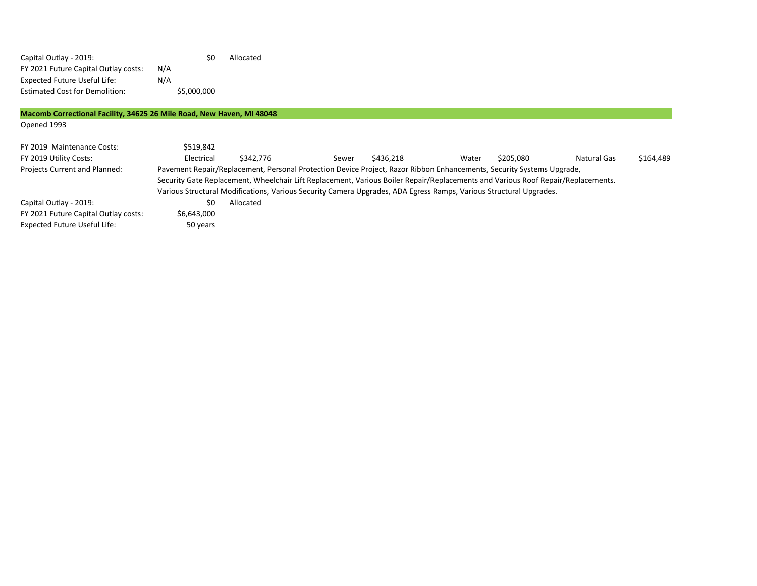| Capital Outlay - 2019:                |     | S0          | Allocated |
|---------------------------------------|-----|-------------|-----------|
| FY 2021 Future Capital Outlay costs:  | N/A |             |           |
| <b>Expected Future Useful Life:</b>   | N/A |             |           |
| <b>Estimated Cost for Demolition:</b> |     | \$5,000,000 |           |

# **Macomb Correctional Facility, 34625 26 Mile Road, New Haven, MI 48048**

Opened 1993

| FY 2019 Maintenance Costs:<br>FY 2019 Utility Costs:                                                                             | \$519.842<br>Electrical                                                                                               | \$342.776 | Sewer | \$436.218 | Water | \$205.080 | Natural Gas | \$164,489 |  |  |
|----------------------------------------------------------------------------------------------------------------------------------|-----------------------------------------------------------------------------------------------------------------------|-----------|-------|-----------|-------|-----------|-------------|-----------|--|--|
| <b>Projects Current and Planned:</b>                                                                                             | Pavement Repair/Replacement, Personal Protection Device Project, Razor Ribbon Enhancements, Security Systems Upgrade, |           |       |           |       |           |             |           |  |  |
| Security Gate Replacement, Wheelchair Lift Replacement, Various Boiler Repair/Replacements and Various Roof Repair/Replacements. |                                                                                                                       |           |       |           |       |           |             |           |  |  |
|                                                                                                                                  | Various Structural Modifications, Various Security Camera Upgrades, ADA Egress Ramps, Various Structural Upgrades.    |           |       |           |       |           |             |           |  |  |
| Capital Outlay - 2019:                                                                                                           | S0                                                                                                                    | Allocated |       |           |       |           |             |           |  |  |
| FY 2021 Future Capital Outlay costs:                                                                                             | \$6,643,000                                                                                                           |           |       |           |       |           |             |           |  |  |
| <b>Expected Future Useful Life:</b>                                                                                              | 50 years                                                                                                              |           |       |           |       |           |             |           |  |  |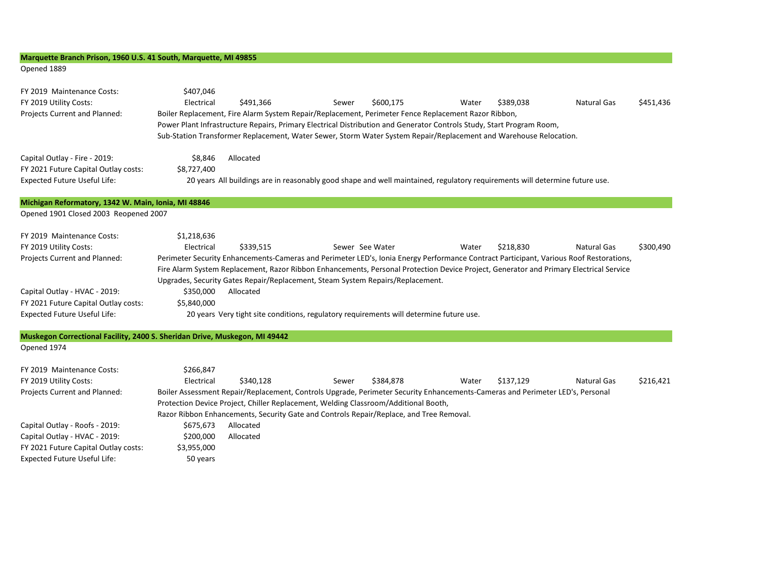# **Marquette Branch Prison, 1960 U.S. 41 South, Marquette, MI 49855**

Expected Future Useful Life: 50 years

#### Opened 1889

| FY 2019 Maintenance Costs:<br>FY 2019 Utility Costs:<br>Projects Current and Planned: | \$407,046<br>\$451,436<br>Electrical<br>\$491,366<br>\$600,175<br>\$389,038<br><b>Natural Gas</b><br>Water<br>Sewer<br>Boiler Replacement, Fire Alarm System Repair/Replacement, Perimeter Fence Replacement Razor Ribbon,<br>Power Plant Infrastructure Repairs, Primary Electrical Distribution and Generator Controls Study, Start Program Room,<br>Sub-Station Transformer Replacement, Water Sewer, Storm Water System Repair/Replacement and Warehouse Relocation. |  |  |  |  |  |  |  |  |
|---------------------------------------------------------------------------------------|--------------------------------------------------------------------------------------------------------------------------------------------------------------------------------------------------------------------------------------------------------------------------------------------------------------------------------------------------------------------------------------------------------------------------------------------------------------------------|--|--|--|--|--|--|--|--|
| Capital Outlay - Fire - 2019:                                                         | Allocated<br>\$8,846                                                                                                                                                                                                                                                                                                                                                                                                                                                     |  |  |  |  |  |  |  |  |
| FY 2021 Future Capital Outlay costs:                                                  | \$8,727,400                                                                                                                                                                                                                                                                                                                                                                                                                                                              |  |  |  |  |  |  |  |  |
| <b>Expected Future Useful Life:</b>                                                   | 20 years All buildings are in reasonably good shape and well maintained, regulatory requirements will determine future use.                                                                                                                                                                                                                                                                                                                                              |  |  |  |  |  |  |  |  |
| Michigan Reformatory, 1342 W. Main, Ionia, MI 48846                                   |                                                                                                                                                                                                                                                                                                                                                                                                                                                                          |  |  |  |  |  |  |  |  |
| Opened 1901 Closed 2003 Reopened 2007                                                 |                                                                                                                                                                                                                                                                                                                                                                                                                                                                          |  |  |  |  |  |  |  |  |
| FY 2019 Maintenance Costs:                                                            | \$1,218,636                                                                                                                                                                                                                                                                                                                                                                                                                                                              |  |  |  |  |  |  |  |  |
| FY 2019 Utility Costs:                                                                | \$218,830<br>\$300,490<br>Electrical<br>\$339,515<br>Sewer See Water<br>Water<br>Natural Gas                                                                                                                                                                                                                                                                                                                                                                             |  |  |  |  |  |  |  |  |
| Projects Current and Planned:                                                         | Perimeter Security Enhancements-Cameras and Perimeter LED's, Ionia Energy Performance Contract Participant, Various Roof Restorations,                                                                                                                                                                                                                                                                                                                                   |  |  |  |  |  |  |  |  |
|                                                                                       | Fire Alarm System Replacement, Razor Ribbon Enhancements, Personal Protection Device Project, Generator and Primary Electrical Service                                                                                                                                                                                                                                                                                                                                   |  |  |  |  |  |  |  |  |
|                                                                                       | Upgrades, Security Gates Repair/Replacement, Steam System Repairs/Replacement.                                                                                                                                                                                                                                                                                                                                                                                           |  |  |  |  |  |  |  |  |
| Capital Outlay - HVAC - 2019:                                                         | \$350,000<br>Allocated                                                                                                                                                                                                                                                                                                                                                                                                                                                   |  |  |  |  |  |  |  |  |
| FY 2021 Future Capital Outlay costs:                                                  | \$5,840,000                                                                                                                                                                                                                                                                                                                                                                                                                                                              |  |  |  |  |  |  |  |  |
| <b>Expected Future Useful Life:</b>                                                   | 20 years Very tight site conditions, regulatory requirements will determine future use.                                                                                                                                                                                                                                                                                                                                                                                  |  |  |  |  |  |  |  |  |
|                                                                                       | Muskegon Correctional Facility, 2400 S. Sheridan Drive, Muskegon, MI 49442                                                                                                                                                                                                                                                                                                                                                                                               |  |  |  |  |  |  |  |  |
| Opened 1974                                                                           |                                                                                                                                                                                                                                                                                                                                                                                                                                                                          |  |  |  |  |  |  |  |  |
| FY 2019 Maintenance Costs:                                                            | \$266,847                                                                                                                                                                                                                                                                                                                                                                                                                                                                |  |  |  |  |  |  |  |  |
| FY 2019 Utility Costs:                                                                | \$137,129<br>\$216,421<br>Electrical<br>\$340,128<br>\$384,878<br>Water<br><b>Natural Gas</b><br>Sewer                                                                                                                                                                                                                                                                                                                                                                   |  |  |  |  |  |  |  |  |
| Projects Current and Planned:                                                         | Boiler Assessment Repair/Replacement, Controls Upgrade, Perimeter Security Enhancements-Cameras and Perimeter LED's, Personal                                                                                                                                                                                                                                                                                                                                            |  |  |  |  |  |  |  |  |
|                                                                                       | Protection Device Project, Chiller Replacement, Welding Classroom/Additional Booth,                                                                                                                                                                                                                                                                                                                                                                                      |  |  |  |  |  |  |  |  |
|                                                                                       | Razor Ribbon Enhancements, Security Gate and Controls Repair/Replace, and Tree Removal.                                                                                                                                                                                                                                                                                                                                                                                  |  |  |  |  |  |  |  |  |
| Capital Outlay - Roofs - 2019:                                                        | Allocated<br>\$675,673                                                                                                                                                                                                                                                                                                                                                                                                                                                   |  |  |  |  |  |  |  |  |
| Capital Outlay - HVAC - 2019:                                                         | \$200,000<br>Allocated                                                                                                                                                                                                                                                                                                                                                                                                                                                   |  |  |  |  |  |  |  |  |
| FY 2021 Future Capital Outlay costs:                                                  | \$3,955,000                                                                                                                                                                                                                                                                                                                                                                                                                                                              |  |  |  |  |  |  |  |  |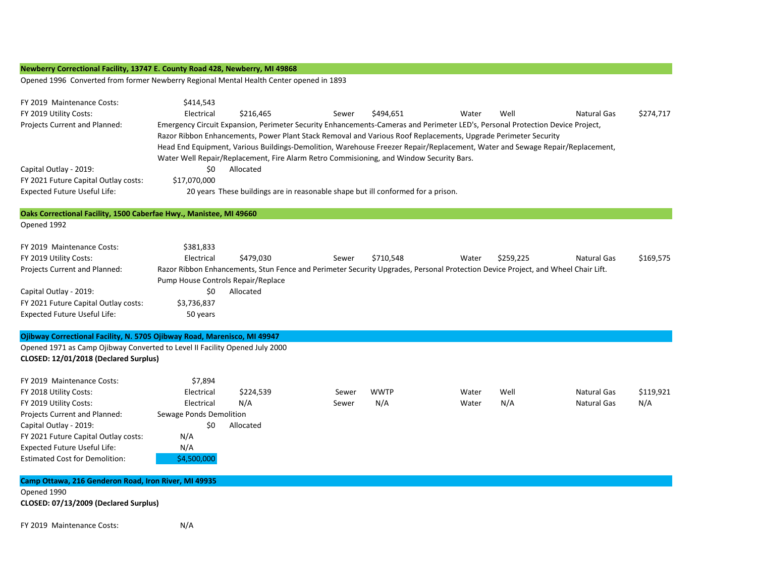## **Newberry Correctional Facility, 13747 E. County Road 428, Newberry, MI 49868**

Opened 1996 Converted from former Newberry Regional Mental Health Center opened in 1893

| FY 2019 Maintenance Costs:<br>FY 2019 Utility Costs:<br>Projects Current and Planned:<br>Capital Outlay - 2019:<br>FY 2021 Future Capital Outlay costs:<br><b>Expected Future Useful Life:</b>                                                                    | \$414,543<br>Electrical<br>\$0<br>\$17,070,000                                                     | \$216,465<br>Emergency Circuit Expansion, Perimeter Security Enhancements-Cameras and Perimeter LED's, Personal Protection Device Project,<br>Razor Ribbon Enhancements, Power Plant Stack Removal and Various Roof Replacements, Upgrade Perimeter Security<br>Water Well Repair/Replacement, Fire Alarm Retro Commisioning, and Window Security Bars.<br>Allocated<br>20 years These buildings are in reasonable shape but ill conformed for a prison. | Sewer          | \$494,651          | Water          | Well        | <b>Natural Gas</b><br>Head End Equipment, Various Buildings-Demolition, Warehouse Freezer Repair/Replacement, Water and Sewage Repair/Replacement,     | \$274,717        |
|-------------------------------------------------------------------------------------------------------------------------------------------------------------------------------------------------------------------------------------------------------------------|----------------------------------------------------------------------------------------------------|----------------------------------------------------------------------------------------------------------------------------------------------------------------------------------------------------------------------------------------------------------------------------------------------------------------------------------------------------------------------------------------------------------------------------------------------------------|----------------|--------------------|----------------|-------------|--------------------------------------------------------------------------------------------------------------------------------------------------------|------------------|
| Oaks Correctional Facility, 1500 Caberfae Hwy., Manistee, MI 49660                                                                                                                                                                                                |                                                                                                    |                                                                                                                                                                                                                                                                                                                                                                                                                                                          |                |                    |                |             |                                                                                                                                                        |                  |
| Opened 1992                                                                                                                                                                                                                                                       |                                                                                                    |                                                                                                                                                                                                                                                                                                                                                                                                                                                          |                |                    |                |             |                                                                                                                                                        |                  |
| FY 2019 Maintenance Costs:<br>FY 2019 Utility Costs:<br>Projects Current and Planned:<br>Capital Outlay - 2019:<br>FY 2021 Future Capital Outlay costs:<br><b>Expected Future Useful Life:</b>                                                                    | \$381,833<br>Electrical<br>Pump House Controls Repair/Replace<br>\$0<br>\$3,736,837<br>50 years    | \$479,030<br>Allocated                                                                                                                                                                                                                                                                                                                                                                                                                                   | Sewer          | \$710,548          | Water          | \$259,225   | <b>Natural Gas</b><br>Razor Ribbon Enhancements, Stun Fence and Perimeter Security Upgrades, Personal Protection Device Project, and Wheel Chair Lift. | \$169,575        |
|                                                                                                                                                                                                                                                                   |                                                                                                    |                                                                                                                                                                                                                                                                                                                                                                                                                                                          |                |                    |                |             |                                                                                                                                                        |                  |
| Ojibway Correctional Facility, N. 5705 Ojibway Road, Marenisco, MI 49947<br>Opened 1971 as Camp Ojibway Converted to Level II Facility Opened July 2000<br>CLOSED: 12/01/2018 (Declared Surplus)                                                                  |                                                                                                    |                                                                                                                                                                                                                                                                                                                                                                                                                                                          |                |                    |                |             |                                                                                                                                                        |                  |
| FY 2019 Maintenance Costs:<br>FY 2018 Utility Costs:<br>FY 2019 Utility Costs:<br>Projects Current and Planned:<br>Capital Outlay - 2019:<br>FY 2021 Future Capital Outlay costs:<br><b>Expected Future Useful Life:</b><br><b>Estimated Cost for Demolition:</b> | \$7,894<br>Electrical<br>Electrical<br>Sewage Ponds Demolition<br>\$0<br>N/A<br>N/A<br>\$4,500,000 | \$224,539<br>N/A<br>Allocated                                                                                                                                                                                                                                                                                                                                                                                                                            | Sewer<br>Sewer | <b>WWTP</b><br>N/A | Water<br>Water | Well<br>N/A | Natural Gas<br><b>Natural Gas</b>                                                                                                                      | \$119,921<br>N/A |
| Camp Ottawa, 216 Genderon Road, Iron River, MI 49935                                                                                                                                                                                                              |                                                                                                    |                                                                                                                                                                                                                                                                                                                                                                                                                                                          |                |                    |                |             |                                                                                                                                                        |                  |
| Opened 1990<br>CLOSED: 07/13/2009 (Declared Surplus)                                                                                                                                                                                                              |                                                                                                    |                                                                                                                                                                                                                                                                                                                                                                                                                                                          |                |                    |                |             |                                                                                                                                                        |                  |
| FY 2019 Maintenance Costs:                                                                                                                                                                                                                                        | N/A                                                                                                |                                                                                                                                                                                                                                                                                                                                                                                                                                                          |                |                    |                |             |                                                                                                                                                        |                  |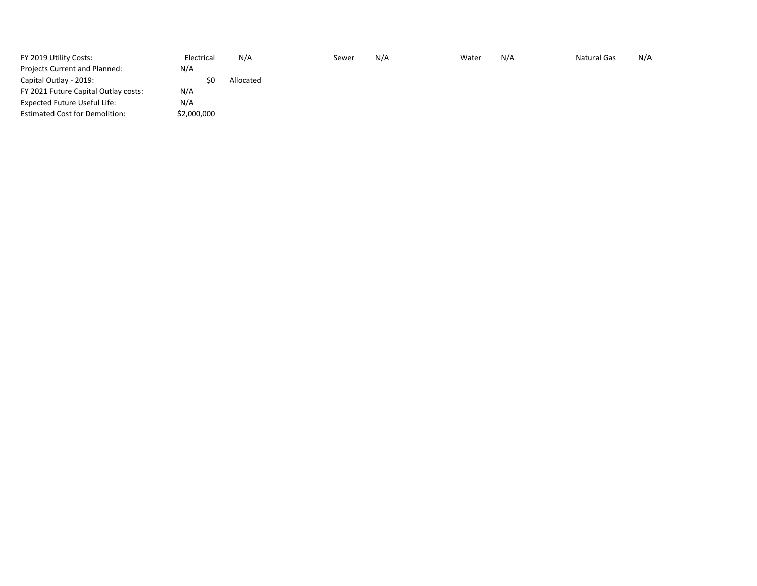| FY 2019 Utility Costs:                | Electrical  | N/A       | Sewer | N/A | Water | N/A | <b>Natural Gas</b> | N/A |
|---------------------------------------|-------------|-----------|-------|-----|-------|-----|--------------------|-----|
| Projects Current and Planned:         | N/A         |           |       |     |       |     |                    |     |
| Capital Outlay - 2019:                | ŚС          | Allocated |       |     |       |     |                    |     |
| FY 2021 Future Capital Outlay costs:  | N/A         |           |       |     |       |     |                    |     |
| Expected Future Useful Life:          | N/A         |           |       |     |       |     |                    |     |
| <b>Estimated Cost for Demolition:</b> | \$2,000,000 |           |       |     |       |     |                    |     |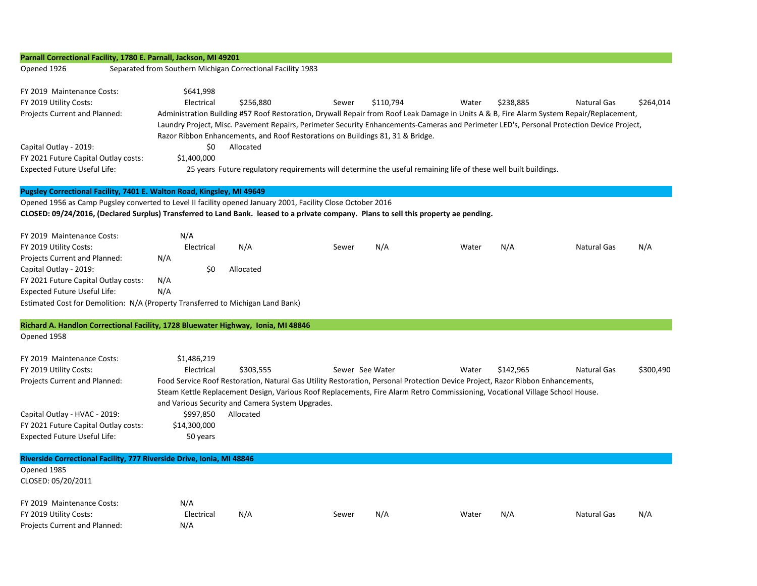| Parnall Correctional Facility, 1780 E. Parnall, Jackson, MI 49201                                                                     |                                                             |                                                                                |                 |           |                                                                                                                                |           |                                                                                                                                           |           |
|---------------------------------------------------------------------------------------------------------------------------------------|-------------------------------------------------------------|--------------------------------------------------------------------------------|-----------------|-----------|--------------------------------------------------------------------------------------------------------------------------------|-----------|-------------------------------------------------------------------------------------------------------------------------------------------|-----------|
| Opened 1926                                                                                                                           | Separated from Southern Michigan Correctional Facility 1983 |                                                                                |                 |           |                                                                                                                                |           |                                                                                                                                           |           |
| FY 2019 Maintenance Costs:                                                                                                            | \$641,998                                                   |                                                                                |                 |           |                                                                                                                                |           |                                                                                                                                           |           |
| FY 2019 Utility Costs:                                                                                                                | Electrical                                                  | \$256,880                                                                      | Sewer           | \$110,794 | Water                                                                                                                          | \$238,885 | <b>Natural Gas</b>                                                                                                                        | \$264,014 |
| Projects Current and Planned:                                                                                                         |                                                             |                                                                                |                 |           |                                                                                                                                |           | Administration Building #57 Roof Restoration, Drywall Repair from Roof Leak Damage in Units A & B, Fire Alarm System Repair/Replacement,  |           |
|                                                                                                                                       |                                                             |                                                                                |                 |           |                                                                                                                                |           | Laundry Project, Misc. Pavement Repairs, Perimeter Security Enhancements-Cameras and Perimeter LED's, Personal Protection Device Project, |           |
|                                                                                                                                       |                                                             | Razor Ribbon Enhancements, and Roof Restorations on Buildings 81, 31 & Bridge. |                 |           |                                                                                                                                |           |                                                                                                                                           |           |
| Capital Outlay - 2019:                                                                                                                | \$0                                                         | Allocated                                                                      |                 |           |                                                                                                                                |           |                                                                                                                                           |           |
| FY 2021 Future Capital Outlay costs:                                                                                                  | \$1,400,000                                                 |                                                                                |                 |           |                                                                                                                                |           |                                                                                                                                           |           |
| <b>Expected Future Useful Life:</b>                                                                                                   |                                                             |                                                                                |                 |           | 25 years Future regulatory requirements will determine the useful remaining life of these well built buildings.                |           |                                                                                                                                           |           |
| Pugsley Correctional Facility, 7401 E. Walton Road, Kingsley, MI 49649                                                                |                                                             |                                                                                |                 |           |                                                                                                                                |           |                                                                                                                                           |           |
| Opened 1956 as Camp Pugsley converted to Level II facility opened January 2001, Facility Close October 2016                           |                                                             |                                                                                |                 |           |                                                                                                                                |           |                                                                                                                                           |           |
| CLOSED: 09/24/2016, (Declared Surplus) Transferred to Land Bank. leased to a private company. Plans to sell this property ae pending. |                                                             |                                                                                |                 |           |                                                                                                                                |           |                                                                                                                                           |           |
| FY 2019 Maintenance Costs:                                                                                                            | N/A                                                         |                                                                                |                 |           |                                                                                                                                |           |                                                                                                                                           |           |
| FY 2019 Utility Costs:                                                                                                                | Electrical                                                  | N/A                                                                            | Sewer           | N/A       | Water                                                                                                                          | N/A       | <b>Natural Gas</b>                                                                                                                        | N/A       |
| Projects Current and Planned:                                                                                                         | N/A                                                         |                                                                                |                 |           |                                                                                                                                |           |                                                                                                                                           |           |
| Capital Outlay - 2019:                                                                                                                | \$0                                                         | Allocated                                                                      |                 |           |                                                                                                                                |           |                                                                                                                                           |           |
| FY 2021 Future Capital Outlay costs:                                                                                                  | N/A                                                         |                                                                                |                 |           |                                                                                                                                |           |                                                                                                                                           |           |
| Expected Future Useful Life:                                                                                                          | N/A                                                         |                                                                                |                 |           |                                                                                                                                |           |                                                                                                                                           |           |
| Estimated Cost for Demolition: N/A (Property Transferred to Michigan Land Bank)                                                       |                                                             |                                                                                |                 |           |                                                                                                                                |           |                                                                                                                                           |           |
| Richard A. Handlon Correctional Facility, 1728 Bluewater Highway, Ionia, MI 48846                                                     |                                                             |                                                                                |                 |           |                                                                                                                                |           |                                                                                                                                           |           |
| Opened 1958                                                                                                                           |                                                             |                                                                                |                 |           |                                                                                                                                |           |                                                                                                                                           |           |
| FY 2019 Maintenance Costs:                                                                                                            | \$1,486,219                                                 |                                                                                |                 |           |                                                                                                                                |           |                                                                                                                                           |           |
| FY 2019 Utility Costs:                                                                                                                | Electrical                                                  | \$303,555                                                                      | Sewer See Water |           | Water                                                                                                                          | \$142,965 | <b>Natural Gas</b>                                                                                                                        | \$300,490 |
| Projects Current and Planned:                                                                                                         |                                                             |                                                                                |                 |           | Food Service Roof Restoration, Natural Gas Utility Restoration, Personal Protection Device Project, Razor Ribbon Enhancements, |           |                                                                                                                                           |           |
|                                                                                                                                       |                                                             |                                                                                |                 |           | Steam Kettle Replacement Design, Various Roof Replacements, Fire Alarm Retro Commissioning, Vocational Village School House.   |           |                                                                                                                                           |           |
|                                                                                                                                       |                                                             | and Various Security and Camera System Upgrades.                               |                 |           |                                                                                                                                |           |                                                                                                                                           |           |
| Capital Outlay - HVAC - 2019:                                                                                                         | \$997,850                                                   | Allocated                                                                      |                 |           |                                                                                                                                |           |                                                                                                                                           |           |
| FY 2021 Future Capital Outlay costs:                                                                                                  | \$14,300,000                                                |                                                                                |                 |           |                                                                                                                                |           |                                                                                                                                           |           |
| Expected Future Useful Life:                                                                                                          | 50 years                                                    |                                                                                |                 |           |                                                                                                                                |           |                                                                                                                                           |           |
| Riverside Correctional Facility, 777 Riverside Drive, Ionia, MI 48846                                                                 |                                                             |                                                                                |                 |           |                                                                                                                                |           |                                                                                                                                           |           |
| Opened 1985                                                                                                                           |                                                             |                                                                                |                 |           |                                                                                                                                |           |                                                                                                                                           |           |
| CLOSED: 05/20/2011                                                                                                                    |                                                             |                                                                                |                 |           |                                                                                                                                |           |                                                                                                                                           |           |
| FY 2019 Maintenance Costs:                                                                                                            | N/A                                                         |                                                                                |                 |           |                                                                                                                                |           |                                                                                                                                           |           |
| FY 2019 Utility Costs:                                                                                                                | Electrical                                                  | N/A                                                                            | Sewer           | N/A       | Water                                                                                                                          | N/A       | <b>Natural Gas</b>                                                                                                                        | N/A       |
| Projects Current and Planned:                                                                                                         | N/A                                                         |                                                                                |                 |           |                                                                                                                                |           |                                                                                                                                           |           |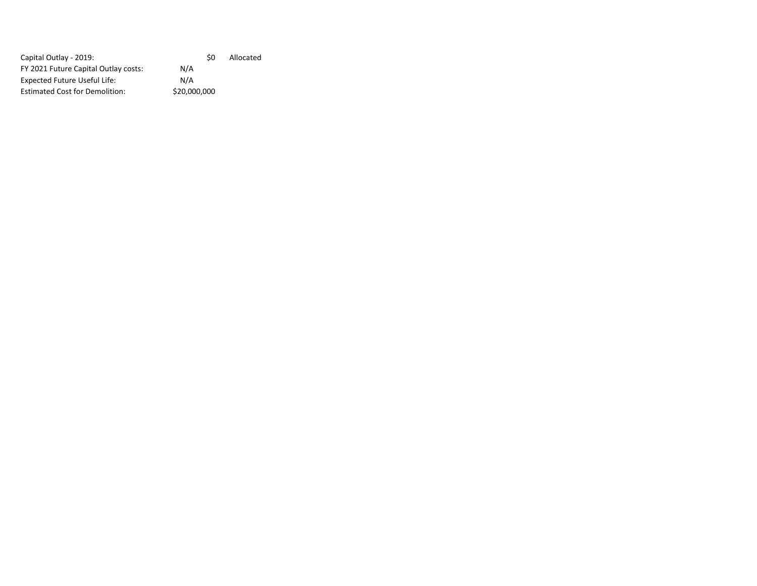| Allocated |
|-----------|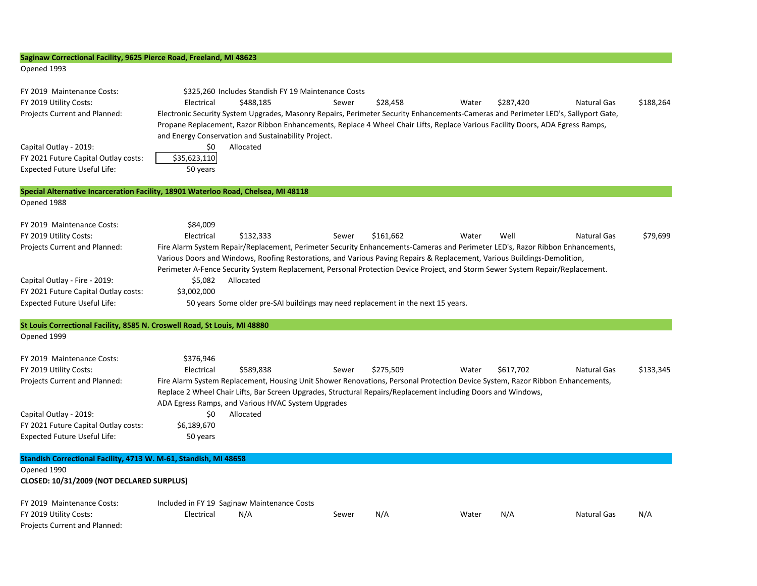| Saginaw Correctional Facility, 9625 Pierce Road, Freeland, MI 48623                                          |                                                                                                                                                                                                                                                                                                                                                                                                                                                                                                            |
|--------------------------------------------------------------------------------------------------------------|------------------------------------------------------------------------------------------------------------------------------------------------------------------------------------------------------------------------------------------------------------------------------------------------------------------------------------------------------------------------------------------------------------------------------------------------------------------------------------------------------------|
| Opened 1993                                                                                                  |                                                                                                                                                                                                                                                                                                                                                                                                                                                                                                            |
| FY 2019 Maintenance Costs:<br>FY 2019 Utility Costs:<br>Projects Current and Planned:                        | \$325,260 Includes Standish FY 19 Maintenance Costs<br>Electrical<br>\$488.185<br>\$28,458<br>\$287,420<br><b>Natural Gas</b><br>\$188.264<br>Sewer<br>Water<br>Electronic Security System Upgrades, Masonry Repairs, Perimeter Security Enhancements-Cameras and Perimeter LED's, Sallyport Gate,<br>Propane Replacement, Razor Ribbon Enhancements, Replace 4 Wheel Chair Lifts, Replace Various Facility Doors, ADA Egress Ramps,<br>and Energy Conservation and Sustainability Project.                |
| Capital Outlay - 2019:<br>FY 2021 Future Capital Outlay costs:<br><b>Expected Future Useful Life:</b>        | Allocated<br>\$0<br>\$35,623,110<br>50 years                                                                                                                                                                                                                                                                                                                                                                                                                                                               |
|                                                                                                              | Special Alternative Incarceration Facility, 18901 Waterloo Road, Chelsea, MI 48118                                                                                                                                                                                                                                                                                                                                                                                                                         |
| Opened 1988                                                                                                  |                                                                                                                                                                                                                                                                                                                                                                                                                                                                                                            |
| FY 2019 Maintenance Costs:<br>FY 2019 Utility Costs:<br>Projects Current and Planned:                        | \$84,009<br>Electrical<br>\$132.333<br>\$161.662<br>Well<br>\$79,699<br>Water<br><b>Natural Gas</b><br>Sewer<br>Fire Alarm System Repair/Replacement, Perimeter Security Enhancements-Cameras and Perimeter LED's, Razor Ribbon Enhancements,<br>Various Doors and Windows, Roofing Restorations, and Various Paving Repairs & Replacement, Various Buildings-Demolition,<br>Perimeter A-Fence Security System Replacement, Personal Protection Device Project, and Storm Sewer System Repair/Replacement. |
| Capital Outlay - Fire - 2019:<br>FY 2021 Future Capital Outlay costs:<br><b>Expected Future Useful Life:</b> | \$5,082<br>Allocated<br>\$3,002,000<br>50 years Some older pre-SAI buildings may need replacement in the next 15 years.                                                                                                                                                                                                                                                                                                                                                                                    |
| St Louis Correctional Facility, 8585 N. Croswell Road, St Louis, MI 48880<br>Opened 1999                     |                                                                                                                                                                                                                                                                                                                                                                                                                                                                                                            |
| FY 2019 Maintenance Costs:<br>FY 2019 Utility Costs:<br>Projects Current and Planned:                        | \$376,946<br>Electrical<br>\$275,509<br>\$133,345<br>\$589,838<br>Water<br>\$617,702<br><b>Natural Gas</b><br>Sewer<br>Fire Alarm System Replacement, Housing Unit Shower Renovations, Personal Protection Device System, Razor Ribbon Enhancements,<br>Replace 2 Wheel Chair Lifts, Bar Screen Upgrades, Structural Repairs/Replacement including Doors and Windows,<br>ADA Egress Ramps, and Various HVAC System Upgrades                                                                                |
| Capital Outlay - 2019:<br>FY 2021 Future Capital Outlay costs:<br><b>Expected Future Useful Life:</b>        | \$0<br>Allocated<br>\$6,189,670<br>50 years                                                                                                                                                                                                                                                                                                                                                                                                                                                                |
| Standish Correctional Facility, 4713 W. M-61, Standish, MI 48658                                             |                                                                                                                                                                                                                                                                                                                                                                                                                                                                                                            |
| Opened 1990<br>CLOSED: 10/31/2009 (NOT DECLARED SURPLUS)                                                     |                                                                                                                                                                                                                                                                                                                                                                                                                                                                                                            |
| FY 2019 Maintenance Costs:<br>FY 2019 Utility Costs:<br>Projects Current and Planned:                        | Included in FY 19 Saginaw Maintenance Costs<br><b>Natural Gas</b><br>Electrical<br>N/A<br>N/A<br>Water<br>N/A<br>N/A<br>Sewer                                                                                                                                                                                                                                                                                                                                                                              |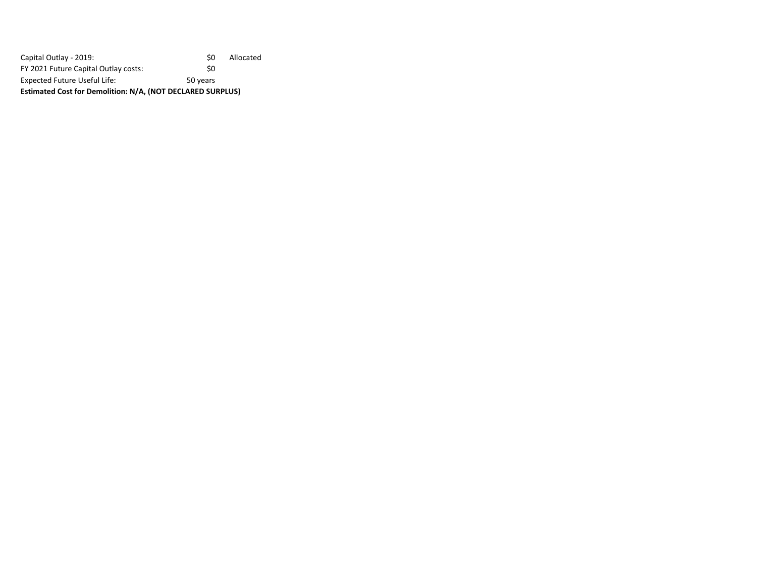Capital Outlay - 2019: Capital Outlay - 2019:<br>
FY 2021 Future Capital Outlay costs: \$0 FY 2021 Future Capital Outlay costs: Expected Future Useful Life: 50 years **Estimated Cost for Demolition: N/A, (NOT DECLARED SURPLUS)**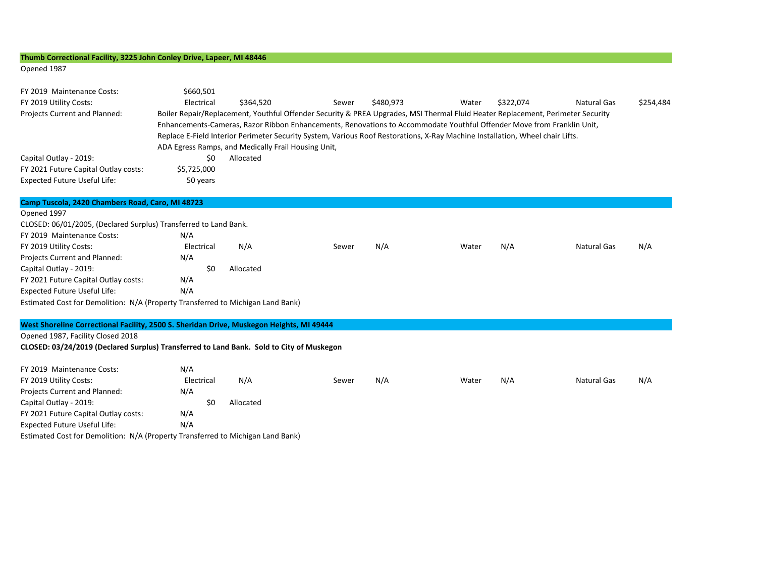## **Thumb Correctional Facility, 3225 John Conley Drive, Lapeer, MI 48446**

#### Opened 1987

| FY 2019 Maintenance Costs:<br>FY 2019 Utility Costs:<br><b>Projects Current and Planned:</b>          | \$660,501<br>Electrical        | \$364.520<br>ADA Egress Ramps, and Medically Frail Housing Unit, | Sewer<br>Boiler Repair/Replacement, Youthful Offender Security & PREA Upgrades, MSI Thermal Fluid Heater Replacement, Perimeter Security<br>Enhancements-Cameras, Razor Ribbon Enhancements, Renovations to Accommodate Youthful Offender Move from Franklin Unit,<br>Replace E-Field Interior Perimeter Security System, Various Roof Restorations, X-Ray Machine Installation, Wheel chair Lifts. | \$480.973 | Water | \$322.074 | Natural Gas | \$254.484 |
|-------------------------------------------------------------------------------------------------------|--------------------------------|------------------------------------------------------------------|-----------------------------------------------------------------------------------------------------------------------------------------------------------------------------------------------------------------------------------------------------------------------------------------------------------------------------------------------------------------------------------------------------|-----------|-------|-----------|-------------|-----------|
| Capital Outlay - 2019:<br>FY 2021 Future Capital Outlay costs:<br><b>Expected Future Useful Life:</b> | \$0<br>\$5,725,000<br>50 years | Allocated                                                        |                                                                                                                                                                                                                                                                                                                                                                                                     |           |       |           |             |           |
| Camp Tuscola, 2420 Chambers Road, Caro, MI 48723<br>Opened 1997                                       |                                |                                                                  |                                                                                                                                                                                                                                                                                                                                                                                                     |           |       |           |             |           |

| CLOSED: 06/01/2005, (Declared Surplus) Transferred to Land Bank.                |            |           |       |     |       |     |             |     |
|---------------------------------------------------------------------------------|------------|-----------|-------|-----|-------|-----|-------------|-----|
| FY 2019 Maintenance Costs:                                                      | N/A        |           |       |     |       |     |             |     |
| FY 2019 Utility Costs:                                                          | Electrical | N/A       | Sewer | N/A | Water | N/A | Natural Gas | N/A |
| Projects Current and Planned:                                                   | N/A        |           |       |     |       |     |             |     |
| Capital Outlay - 2019:                                                          | S0         | Allocated |       |     |       |     |             |     |
| FY 2021 Future Capital Outlay costs:                                            | N/A        |           |       |     |       |     |             |     |
| <b>Expected Future Useful Life:</b>                                             | N/A        |           |       |     |       |     |             |     |
| Estimated Cost for Demolition: N/A (Property Transferred to Michigan Land Bank) |            |           |       |     |       |     |             |     |
|                                                                                 |            |           |       |     |       |     |             |     |

### **West Shoreline Correctional Facility, 2500 S. Sheridan Drive, Muskegon Heights, MI 49444**

### Opened 1987, Facility Closed 2018

## **CLOSED: 03/24/2019 (Declared Surplus) Transferred to Land Bank. Sold to City of Muskegon**

| FY 2019 Maintenance Costs:                                                      | N/A        |     |           |       |     |       |     |             |     |
|---------------------------------------------------------------------------------|------------|-----|-----------|-------|-----|-------|-----|-------------|-----|
| FY 2019 Utility Costs:                                                          | Electrical |     | N/A       | Sewer | N/A | Water | N/A | Natural Gas | N/A |
| Projects Current and Planned:                                                   | N/A        |     |           |       |     |       |     |             |     |
| Capital Outlay - 2019:                                                          |            | \$0 | Allocated |       |     |       |     |             |     |
| FY 2021 Future Capital Outlay costs:                                            | N/A        |     |           |       |     |       |     |             |     |
| Expected Future Useful Life:                                                    | N/A        |     |           |       |     |       |     |             |     |
| Estimated Cost for Demolition: N/A (Property Transferred to Michigan Land Bank) |            |     |           |       |     |       |     |             |     |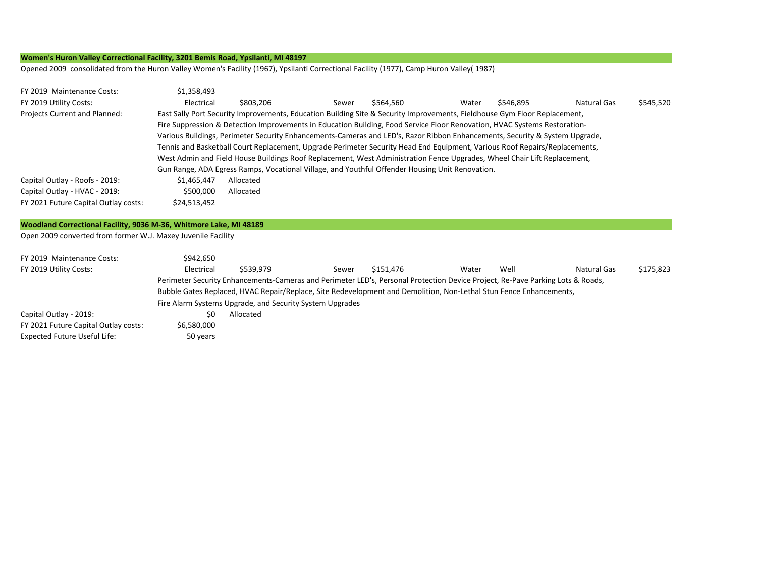## **Women's Huron Valley Correctional Facility, 3201 Bemis Road, Ypsilanti, MI 48197**

Opened 2009 consolidated from the Huron Valley Women's Facility (1967), Ypsilanti Correctional Facility (1977), Camp Huron Valley( 1987)

| FY 2019 Maintenance Costs:           | \$1,358,493                                                                                                                                                                                                                                              |                                                                                                                            |       |           |       |           |             |           |  |  |
|--------------------------------------|----------------------------------------------------------------------------------------------------------------------------------------------------------------------------------------------------------------------------------------------------------|----------------------------------------------------------------------------------------------------------------------------|-------|-----------|-------|-----------|-------------|-----------|--|--|
| FY 2019 Utility Costs:               | Electrical                                                                                                                                                                                                                                               | \$803,206                                                                                                                  | Sewer | \$564.560 | Water | \$546.895 | Natural Gas | \$545,520 |  |  |
| <b>Projects Current and Planned:</b> | East Sally Port Security Improvements, Education Building Site & Security Improvements, Fieldhouse Gym Floor Replacement,                                                                                                                                |                                                                                                                            |       |           |       |           |             |           |  |  |
|                                      | Fire Suppression & Detection Improvements in Education Building, Food Service Floor Renovation, HVAC Systems Restoration-<br>Various Buildings, Perimeter Security Enhancements-Cameras and LED's, Razor Ribbon Enhancements, Security & System Upgrade, |                                                                                                                            |       |           |       |           |             |           |  |  |
|                                      |                                                                                                                                                                                                                                                          |                                                                                                                            |       |           |       |           |             |           |  |  |
|                                      |                                                                                                                                                                                                                                                          | Tennis and Basketball Court Replacement, Upgrade Perimeter Security Head End Equipment, Various Roof Repairs/Replacements, |       |           |       |           |             |           |  |  |
|                                      | West Admin and Field House Buildings Roof Replacement, West Administration Fence Upgrades, Wheel Chair Lift Replacement,                                                                                                                                 |                                                                                                                            |       |           |       |           |             |           |  |  |
|                                      | Gun Range, ADA Egress Ramps, Vocational Village, and Youthful Offender Housing Unit Renovation.                                                                                                                                                          |                                                                                                                            |       |           |       |           |             |           |  |  |
| Capital Outlay - Roofs - 2019:       | \$1.465.447                                                                                                                                                                                                                                              | Allocated                                                                                                                  |       |           |       |           |             |           |  |  |
| Capital Outlay - HVAC - 2019:        | \$500,000                                                                                                                                                                                                                                                | Allocated                                                                                                                  |       |           |       |           |             |           |  |  |
| FY 2021 Future Capital Outlay costs: | \$24,513,452                                                                                                                                                                                                                                             |                                                                                                                            |       |           |       |           |             |           |  |  |

#### **Woodland Correctional Facility, 9036 M-36, Whitmore Lake, MI 48189**

Open 2009 converted from former W.J. Maxey Juvenile Facility

| FY 2019 Maintenance Costs:           | \$942.650                                                                                                                      |                                                          |       |           |       |      |             |           |  |  |
|--------------------------------------|--------------------------------------------------------------------------------------------------------------------------------|----------------------------------------------------------|-------|-----------|-------|------|-------------|-----------|--|--|
| FY 2019 Utility Costs:               | Electrical                                                                                                                     | \$539.979                                                | Sewer | \$151.476 | Water | Well | Natural Gas | \$175,823 |  |  |
|                                      | Perimeter Security Enhancements-Cameras and Perimeter LED's, Personal Protection Device Project, Re-Pave Parking Lots & Roads, |                                                          |       |           |       |      |             |           |  |  |
|                                      | Bubble Gates Replaced, HVAC Repair/Replace, Site Redevelopment and Demolition, Non-Lethal Stun Fence Enhancements,             |                                                          |       |           |       |      |             |           |  |  |
|                                      |                                                                                                                                | Fire Alarm Systems Upgrade, and Security System Upgrades |       |           |       |      |             |           |  |  |
| Capital Outlay - 2019:               | \$0                                                                                                                            | Allocated                                                |       |           |       |      |             |           |  |  |
| FY 2021 Future Capital Outlay costs: | \$6,580,000                                                                                                                    |                                                          |       |           |       |      |             |           |  |  |
| Expected Future Useful Life:         | 50 years                                                                                                                       |                                                          |       |           |       |      |             |           |  |  |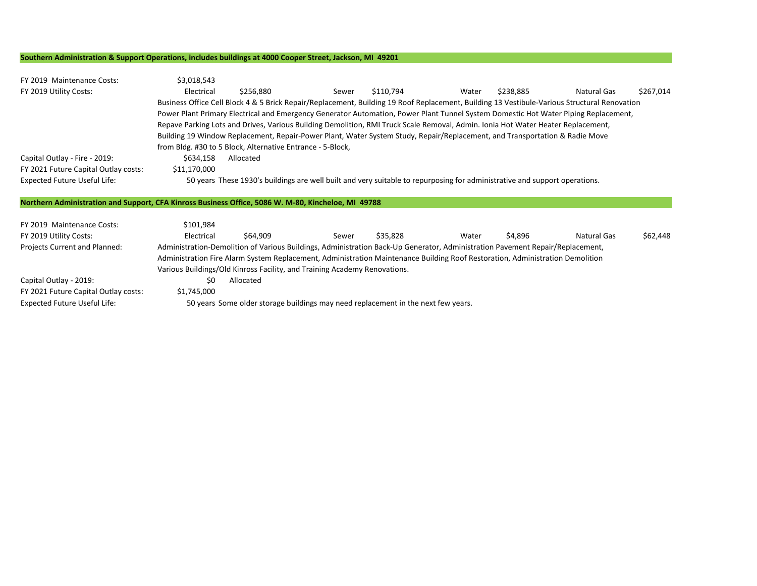#### **Southern Administration & Support Operations, includes buildings at 4000 Cooper Street, Jackson, MI 49201**

| FY 2019 Maintenance Costs:<br>FY 2019 Utility Costs:<br>Capital Outlay - Fire - 2019:<br>FY 2021 Future Capital Outlay costs:<br><b>Expected Future Useful Life:</b> | \$3,018,543<br>Electrical<br>\$634,158<br>\$11,170,000                                                                                                                                                                                                                                                                                      | \$256,880<br>Business Office Cell Block 4 & 5 Brick Repair/Replacement, Building 19 Roof Replacement, Building 13 Vestibule-Various Structural Renovation<br>Power Plant Primary Electrical and Emergency Generator Automation, Power Plant Tunnel System Domestic Hot Water Piping Replacement,<br>Repave Parking Lots and Drives, Various Building Demolition, RMI Truck Scale Removal, Admin. Ionia Hot Water Heater Replacement,<br>Building 19 Window Replacement, Repair-Power Plant, Water System Study, Repair/Replacement, and Transportation & Radie Move<br>from Bldg. #30 to 5 Block, Alternative Entrance - 5-Block,<br>Allocated<br>50 years These 1930's buildings are well built and very suitable to repurposing for administrative and support operations. | Sewer | \$110,794 | Water | \$238,885 | Natural Gas        | \$267,014 |  |
|----------------------------------------------------------------------------------------------------------------------------------------------------------------------|---------------------------------------------------------------------------------------------------------------------------------------------------------------------------------------------------------------------------------------------------------------------------------------------------------------------------------------------|------------------------------------------------------------------------------------------------------------------------------------------------------------------------------------------------------------------------------------------------------------------------------------------------------------------------------------------------------------------------------------------------------------------------------------------------------------------------------------------------------------------------------------------------------------------------------------------------------------------------------------------------------------------------------------------------------------------------------------------------------------------------------|-------|-----------|-------|-----------|--------------------|-----------|--|
| Northern Administration and Support, CFA Kinross Business Office, 5086 W. M-80, Kincheloe, MI 49788                                                                  |                                                                                                                                                                                                                                                                                                                                             |                                                                                                                                                                                                                                                                                                                                                                                                                                                                                                                                                                                                                                                                                                                                                                              |       |           |       |           |                    |           |  |
| FY 2019 Maintenance Costs:<br>FY 2019 Utility Costs:                                                                                                                 | \$101,984<br>Electrical                                                                                                                                                                                                                                                                                                                     | \$64,909                                                                                                                                                                                                                                                                                                                                                                                                                                                                                                                                                                                                                                                                                                                                                                     | Sewer | \$35,828  | Water | \$4,896   | <b>Natural Gas</b> | \$62,448  |  |
| Projects Current and Planned:                                                                                                                                        | Administration-Demolition of Various Buildings, Administration Back-Up Generator, Administration Pavement Repair/Replacement,<br>Administration Fire Alarm System Replacement, Administration Maintenance Building Roof Restoration, Administration Demolition<br>Various Buildings/Old Kinross Facility, and Training Academy Renovations. |                                                                                                                                                                                                                                                                                                                                                                                                                                                                                                                                                                                                                                                                                                                                                                              |       |           |       |           |                    |           |  |
| Capital Outlay - 2019:                                                                                                                                               | \$0                                                                                                                                                                                                                                                                                                                                         | Allocated                                                                                                                                                                                                                                                                                                                                                                                                                                                                                                                                                                                                                                                                                                                                                                    |       |           |       |           |                    |           |  |
| FY 2021 Future Capital Outlay costs:                                                                                                                                 | \$1,745,000                                                                                                                                                                                                                                                                                                                                 |                                                                                                                                                                                                                                                                                                                                                                                                                                                                                                                                                                                                                                                                                                                                                                              |       |           |       |           |                    |           |  |

Expected Future Useful Life: 50 years Some older storage buildings may need replacement in the next few years.